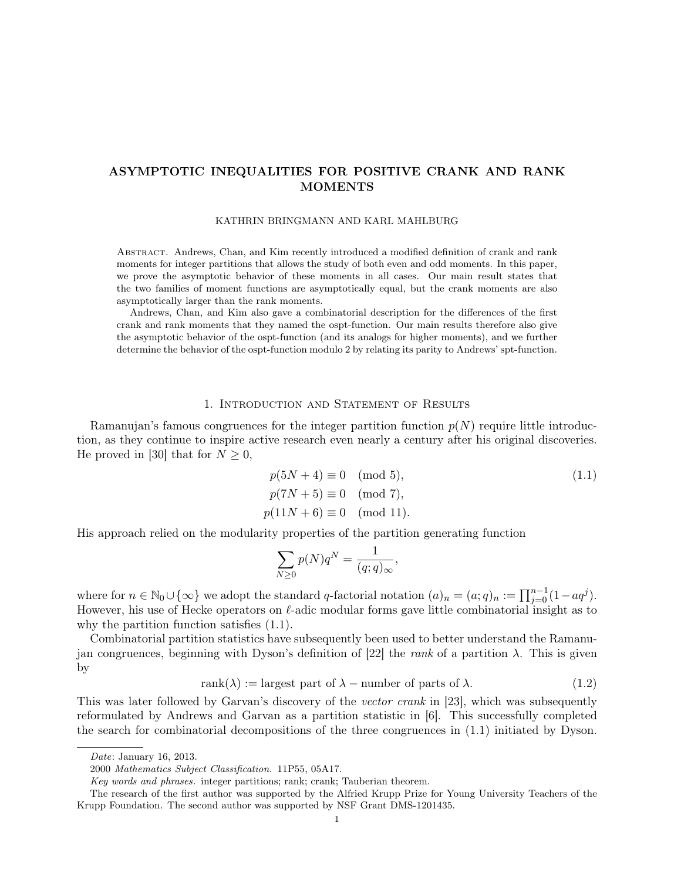# ASYMPTOTIC INEQUALITIES FOR POSITIVE CRANK AND RANK MOMENTS

KATHRIN BRINGMANN AND KARL MAHLBURG

Abstract. Andrews, Chan, and Kim recently introduced a modified definition of crank and rank moments for integer partitions that allows the study of both even and odd moments. In this paper, we prove the asymptotic behavior of these moments in all cases. Our main result states that the two families of moment functions are asymptotically equal, but the crank moments are also asymptotically larger than the rank moments.

Andrews, Chan, and Kim also gave a combinatorial description for the differences of the first crank and rank moments that they named the ospt-function. Our main results therefore also give the asymptotic behavior of the ospt-function (and its analogs for higher moments), and we further determine the behavior of the ospt-function modulo 2 by relating its parity to Andrews' spt-function.

#### 1. Introduction and Statement of Results

Ramanujan's famous congruences for the integer partition function  $p(N)$  require little introduction, as they continue to inspire active research even nearly a century after his original discoveries. He proved in [30] that for  $N \geq 0$ ,

$$
p(5N + 4) \equiv 0 \pmod{5},
$$
  
\n
$$
p(7N + 5) \equiv 0 \pmod{7},
$$
  
\n
$$
p(11N + 6) \equiv 0 \pmod{11}.
$$
\n(1.1)

His approach relied on the modularity properties of the partition generating function

$$
\sum_{N\geq 0} p(N)q^N = \frac{1}{(q;q)_{\infty}},
$$

where for  $n \in \mathbb{N}_0 \cup \{\infty\}$  we adopt the standard q-factorial notation  $(a)_n = (a;q)_n := \prod_{j=0}^{n-1} (1 - aq^j)$ . However, his use of Hecke operators on  $\ell$ -adic modular forms gave little combinatorial insight as to why the partition function satisfies (1.1).

Combinatorial partition statistics have subsequently been used to better understand the Ramanujan congruences, beginning with Dyson's definition of [22] the rank of a partition  $\lambda$ . This is given by

$$
rank(\lambda) := \text{largest part of } \lambda - \text{ number of parts of } \lambda. \tag{1.2}
$$

This was later followed by Garvan's discovery of the vector crank in [23], which was subsequently reformulated by Andrews and Garvan as a partition statistic in [6]. This successfully completed the search for combinatorial decompositions of the three congruences in (1.1) initiated by Dyson.

Date: January 16, 2013.

<sup>2000</sup> Mathematics Subject Classification. 11P55, 05A17.

Key words and phrases. integer partitions; rank; crank; Tauberian theorem.

The research of the first author was supported by the Alfried Krupp Prize for Young University Teachers of the Krupp Foundation. The second author was supported by NSF Grant DMS-1201435.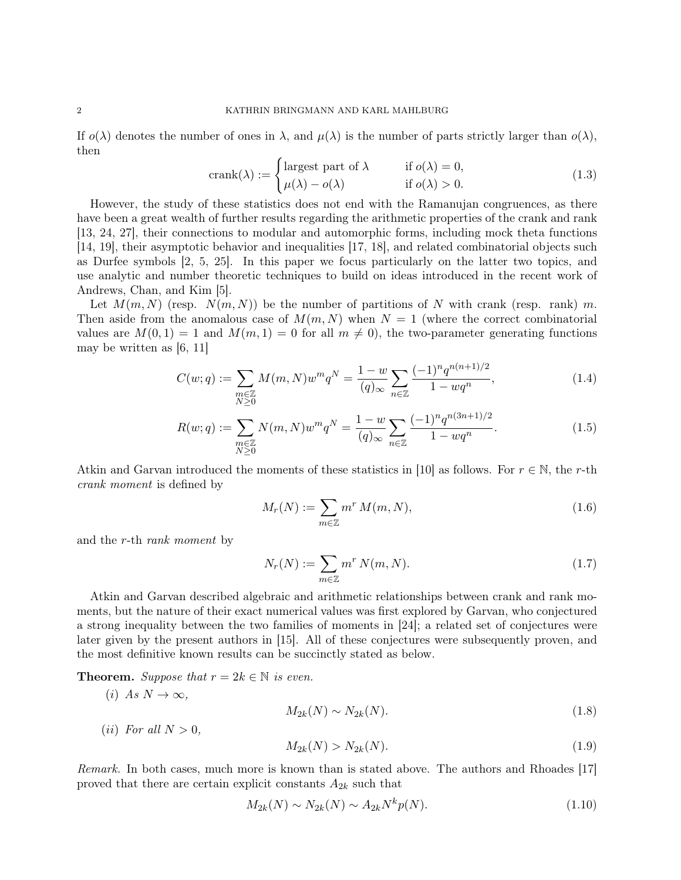If  $o(\lambda)$  denotes the number of ones in  $\lambda$ , and  $\mu(\lambda)$  is the number of parts strictly larger than  $o(\lambda)$ , then

$$
\text{crank}(\lambda) := \begin{cases} \text{largest part of } \lambda & \text{if } o(\lambda) = 0, \\ \mu(\lambda) - o(\lambda) & \text{if } o(\lambda) > 0. \end{cases} \tag{1.3}
$$

However, the study of these statistics does not end with the Ramanujan congruences, as there have been a great wealth of further results regarding the arithmetic properties of the crank and rank [13, 24, 27], their connections to modular and automorphic forms, including mock theta functions [14, 19], their asymptotic behavior and inequalities [17, 18], and related combinatorial objects such as Durfee symbols [2, 5, 25]. In this paper we focus particularly on the latter two topics, and use analytic and number theoretic techniques to build on ideas introduced in the recent work of Andrews, Chan, and Kim [5].

Let  $M(m, N)$  (resp.  $N(m, N)$ ) be the number of partitions of N with crank (resp. rank) m. Then aside from the anomalous case of  $M(m, N)$  when  $N = 1$  (where the correct combinatorial values are  $M(0, 1) = 1$  and  $M(m, 1) = 0$  for all  $m \neq 0$ , the two-parameter generating functions may be written as [6, 11]

$$
C(w;q) := \sum_{\substack{m \in \mathbb{Z} \\ N \ge 0}} M(m,N) w^m q^N = \frac{1-w}{(q)_{\infty}} \sum_{n \in \mathbb{Z}} \frac{(-1)^n q^{n(n+1)/2}}{1 - w q^n},
$$
(1.4)

$$
R(w;q) := \sum_{\substack{m \in \mathbb{Z} \\ N \ge 0}} N(m,N)w^m q^N = \frac{1-w}{(q)_{\infty}} \sum_{n \in \mathbb{Z}} \frac{(-1)^n q^{n(3n+1)/2}}{1 - w q^n}.
$$
 (1.5)

Atkin and Garvan introduced the moments of these statistics in [10] as follows. For  $r \in \mathbb{N}$ , the r-th crank moment is defined by

$$
M_r(N) := \sum_{m \in \mathbb{Z}} m^r M(m, N), \qquad (1.6)
$$

and the r-th rank moment by

$$
N_r(N) := \sum_{m \in \mathbb{Z}} m^r N(m, N). \tag{1.7}
$$

Atkin and Garvan described algebraic and arithmetic relationships between crank and rank moments, but the nature of their exact numerical values was first explored by Garvan, who conjectured a strong inequality between the two families of moments in [24]; a related set of conjectures were later given by the present authors in [15]. All of these conjectures were subsequently proven, and the most definitive known results can be succinctly stated as below.

**Theorem.** Suppose that  $r = 2k \in \mathbb{N}$  is even.

(i) 
$$
As N \to \infty
$$
,  
\n(ii) For all  $N > 0$ ,  
\n
$$
M_{2k}(N) \sim N_{2k}(N).
$$
\n(1.8)

$$
M_{2k}(N) > N_{2k}(N). \tag{1.9}
$$

Remark. In both cases, much more is known than is stated above. The authors and Rhoades [17] proved that there are certain explicit constants  $A_{2k}$  such that

$$
M_{2k}(N) \sim N_{2k}(N) \sim A_{2k} N^k p(N). \tag{1.10}
$$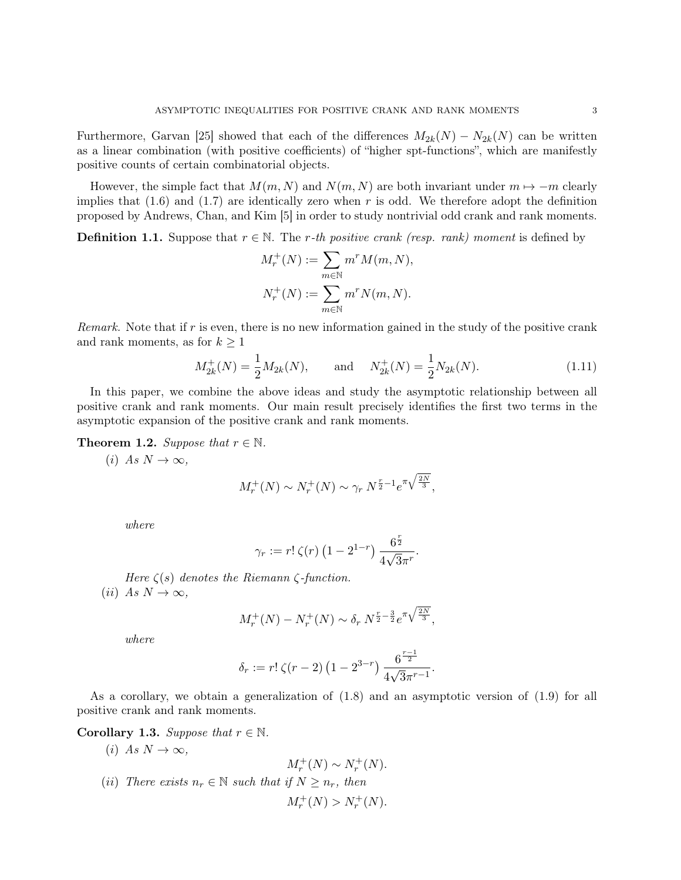Furthermore, Garvan [25] showed that each of the differences  $M_{2k}(N) - N_{2k}(N)$  can be written as a linear combination (with positive coefficients) of "higher spt-functions", which are manifestly positive counts of certain combinatorial objects.

However, the simple fact that  $M(m, N)$  and  $N(m, N)$  are both invariant under  $m \mapsto -m$  clearly implies that  $(1.6)$  and  $(1.7)$  are identically zero when r is odd. We therefore adopt the definition proposed by Andrews, Chan, and Kim [5] in order to study nontrivial odd crank and rank moments.

**Definition 1.1.** Suppose that  $r \in \mathbb{N}$ . The r-th positive crank (resp. rank) moment is defined by

$$
M_r^+(N) := \sum_{m \in \mathbb{N}} m^r M(m, N),
$$
  

$$
N_r^+(N) := \sum_{m \in \mathbb{N}} m^r N(m, N).
$$

Remark. Note that if  $r$  is even, there is no new information gained in the study of the positive crank and rank moments, as for  $k \geq 1$ 

$$
M_{2k}^{+}(N) = \frac{1}{2}M_{2k}(N), \quad \text{and} \quad N_{2k}^{+}(N) = \frac{1}{2}N_{2k}(N). \tag{1.11}
$$

In this paper, we combine the above ideas and study the asymptotic relationship between all positive crank and rank moments. Our main result precisely identifies the first two terms in the asymptotic expansion of the positive crank and rank moments.

**Theorem 1.2.** Suppose that  $r \in \mathbb{N}$ .

(i) As  $N \to \infty$ ,

$$
M_r^+(N) \sim N_r^+(N) \sim \gamma_r N^{\frac{r}{2}-1} e^{\pi \sqrt{\frac{2N}{3}}},
$$

where

$$
\gamma_r := r! \zeta(r) \left(1 - 2^{1-r}\right) \frac{6^{\frac{r}{2}}}{4\sqrt{3}\pi^r}.
$$

Here  $\zeta(s)$  denotes the Riemann  $\zeta$ -function. (*ii*) As  $N \to \infty$ ,

$$
M_r^+(N) - N_r^+(N) \sim \delta_r N^{\frac{r}{2} - \frac{3}{2}} e^{\pi \sqrt{\frac{2N}{3}}},
$$

where

$$
\delta_r := r! \zeta(r-2) \left(1 - 2^{3-r}\right) \frac{6^{\frac{r-1}{2}}}{4\sqrt{3}\pi^{r-1}}.
$$

As a corollary, we obtain a generalization of (1.8) and an asymptotic version of (1.9) for all positive crank and rank moments.

Corollary 1.3. Suppose that  $r \in \mathbb{N}$ .

(i) As  $N \to \infty$ ,  $M_r^+(N) \sim N_r^+(N)$ . (ii) There exists  $n_r \in \mathbb{N}$  such that if  $N \geq n_r$ , then  $M_r^+(N) > N_r^+(N)$ .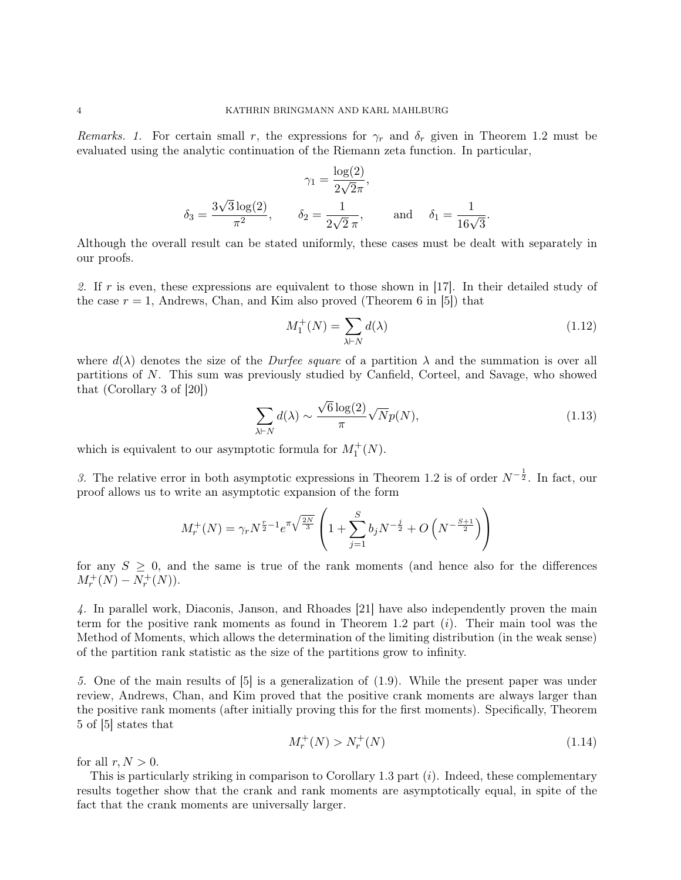Remarks. 1. For certain small r, the expressions for  $\gamma_r$  and  $\delta_r$  given in Theorem 1.2 must be evaluated using the analytic continuation of the Riemann zeta function. In particular,

$$
\gamma_1 = \frac{\log(2)}{2\sqrt{2}\pi},
$$
  

$$
\delta_3 = \frac{3\sqrt{3}\log(2)}{\pi^2}, \qquad \delta_2 = \frac{1}{2\sqrt{2}\pi}, \qquad \text{and} \quad \delta_1 = \frac{1}{16\sqrt{3}}.
$$

Although the overall result can be stated uniformly, these cases must be dealt with separately in our proofs.

2. If r is even, these expressions are equivalent to those shown in [17]. In their detailed study of the case  $r = 1$ , Andrews, Chan, and Kim also proved (Theorem 6 in [5]) that

$$
M_1^+(N) = \sum_{\lambda \vdash N} d(\lambda) \tag{1.12}
$$

where  $d(\lambda)$  denotes the size of the *Durfee square* of a partition  $\lambda$  and the summation is over all partitions of N. This sum was previously studied by Canfield, Corteel, and Savage, who showed that (Corollary 3 of [20]) √

$$
\sum_{\lambda \vdash N} d(\lambda) \sim \frac{\sqrt{6} \log(2)}{\pi} \sqrt{N} p(N),\tag{1.13}
$$

which is equivalent to our asymptotic formula for  $M_1^+(N)$ .

3. The relative error in both asymptotic expressions in Theorem 1.2 is of order  $N^{-\frac{1}{2}}$ . In fact, our proof allows us to write an asymptotic expansion of the form

$$
M_r^+(N) = \gamma_r N^{\frac{r}{2}-1} e^{\pi \sqrt{\frac{2N}{3}}} \left( 1 + \sum_{j=1}^S b_j N^{-\frac{j}{2}} + O\left(N^{-\frac{S+1}{2}}\right) \right)
$$

for any  $S \geq 0$ , and the same is true of the rank moments (and hence also for the differences  $M_r^+(N) - N_r^+(N)$ ).

4. In parallel work, Diaconis, Janson, and Rhoades [21] have also independently proven the main term for the positive rank moments as found in Theorem 1.2 part (i). Their main tool was the Method of Moments, which allows the determination of the limiting distribution (in the weak sense) of the partition rank statistic as the size of the partitions grow to infinity.

5. One of the main results of [5] is a generalization of (1.9). While the present paper was under review, Andrews, Chan, and Kim proved that the positive crank moments are always larger than the positive rank moments (after initially proving this for the first moments). Specifically, Theorem 5 of [5] states that

$$
M_r^+(N) > N_r^+(N) \tag{1.14}
$$

for all  $r, N > 0$ .

This is particularly striking in comparison to Corollary 1.3 part  $(i)$ . Indeed, these complementary results together show that the crank and rank moments are asymptotically equal, in spite of the fact that the crank moments are universally larger.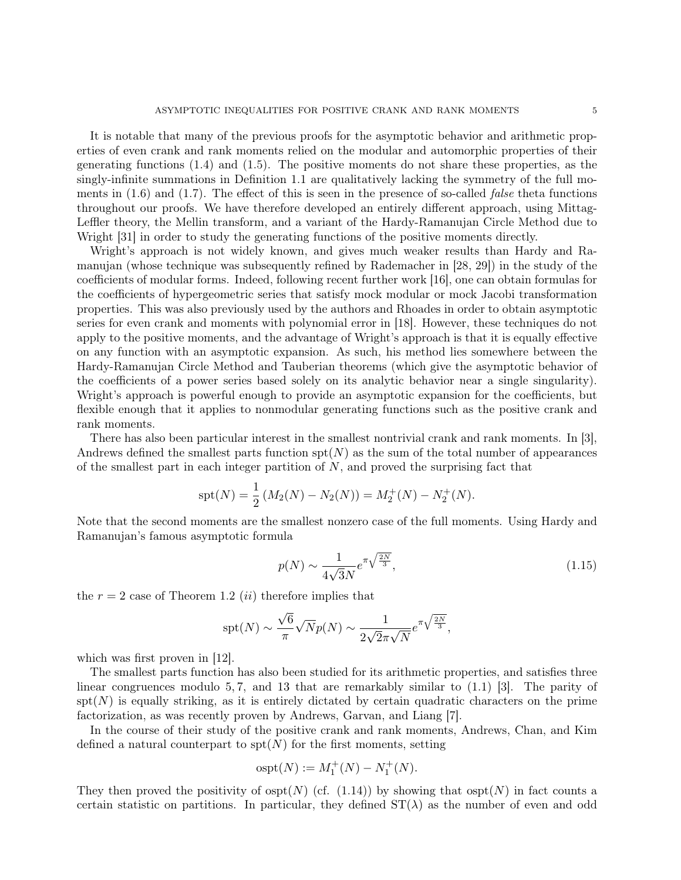It is notable that many of the previous proofs for the asymptotic behavior and arithmetic properties of even crank and rank moments relied on the modular and automorphic properties of their generating functions (1.4) and (1.5). The positive moments do not share these properties, as the singly-infinite summations in Definition 1.1 are qualitatively lacking the symmetry of the full moments in  $(1.6)$  and  $(1.7)$ . The effect of this is seen in the presence of so-called *false* theta functions throughout our proofs. We have therefore developed an entirely different approach, using Mittag-Leffler theory, the Mellin transform, and a variant of the Hardy-Ramanujan Circle Method due to Wright [31] in order to study the generating functions of the positive moments directly.

Wright's approach is not widely known, and gives much weaker results than Hardy and Ramanujan (whose technique was subsequently refined by Rademacher in [28, 29]) in the study of the coefficients of modular forms. Indeed, following recent further work [16], one can obtain formulas for the coefficients of hypergeometric series that satisfy mock modular or mock Jacobi transformation properties. This was also previously used by the authors and Rhoades in order to obtain asymptotic series for even crank and moments with polynomial error in [18]. However, these techniques do not apply to the positive moments, and the advantage of Wright's approach is that it is equally effective on any function with an asymptotic expansion. As such, his method lies somewhere between the Hardy-Ramanujan Circle Method and Tauberian theorems (which give the asymptotic behavior of the coefficients of a power series based solely on its analytic behavior near a single singularity). Wright's approach is powerful enough to provide an asymptotic expansion for the coefficients, but flexible enough that it applies to nonmodular generating functions such as the positive crank and rank moments.

There has also been particular interest in the smallest nontrivial crank and rank moments. In [3], Andrews defined the smallest parts function  $spt(N)$  as the sum of the total number of appearances of the smallest part in each integer partition of  $N$ , and proved the surprising fact that

$$
spt(N) = \frac{1}{2} (M_2(N) - N_2(N)) = M_2^+(N) - N_2^+(N).
$$

Note that the second moments are the smallest nonzero case of the full moments. Using Hardy and Ramanujan's famous asymptotic formula

$$
p(N) \sim \frac{1}{4\sqrt{3}N} e^{\pi \sqrt{\frac{2N}{3}}},\tag{1.15}
$$

the  $r = 2$  case of Theorem 1.2 *(ii)* therefore implies that

$$
\text{spt}(N) \sim \frac{\sqrt{6}}{\pi} \sqrt{N} p(N) \sim \frac{1}{2\sqrt{2}\pi\sqrt{N}} e^{\pi\sqrt{\frac{2N}{3}}},
$$

which was first proven in [12].

The smallest parts function has also been studied for its arithmetic properties, and satisfies three linear congruences modulo 5,7, and 13 that are remarkably similar to  $(1.1)$  [3]. The parity of  $spt(N)$  is equally striking, as it is entirely dictated by certain quadratic characters on the prime factorization, as was recently proven by Andrews, Garvan, and Liang [7].

In the course of their study of the positive crank and rank moments, Andrews, Chan, and Kim defined a natural counterpart to  $spt(N)$  for the first moments, setting

$$
ospt(N) := M_1^+(N) - N_1^+(N).
$$

They then proved the positivity of  $\text{osp}(N)$  (cf. (1.14)) by showing that  $\text{osp}(N)$  in fact counts a certain statistic on partitions. In particular, they defined  $ST(\lambda)$  as the number of even and odd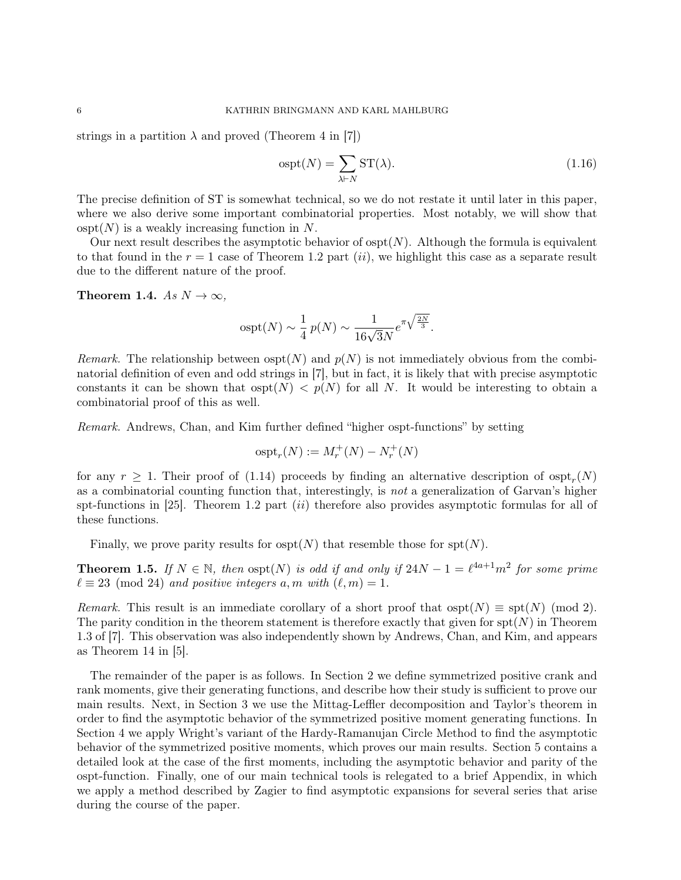strings in a partition  $\lambda$  and proved (Theorem 4 in [7])

$$
ospt(N) = \sum_{\lambda \vdash N} ST(\lambda). \tag{1.16}
$$

The precise definition of ST is somewhat technical, so we do not restate it until later in this paper, where we also derive some important combinatorial properties. Most notably, we will show that  $\text{ospt}(N)$  is a weakly increasing function in N.

Our next result describes the asymptotic behavior of  $\text{ospt}(N)$ . Although the formula is equivalent to that found in the  $r = 1$  case of Theorem 1.2 part *(ii)*, we highlight this case as a separate result due to the different nature of the proof.

Theorem 1.4. As  $N \to \infty$ ,

$$
ospt(N) \sim \frac{1}{4} p(N) \sim \frac{1}{16\sqrt{3}N} e^{\pi \sqrt{\frac{2N}{3}}}.
$$

Remark. The relationship between  $\text{osp}(N)$  and  $p(N)$  is not immediately obvious from the combinatorial definition of even and odd strings in [7], but in fact, it is likely that with precise asymptotic constants it can be shown that  $\mathrm{osp}(N) < p(N)$  for all N. It would be interesting to obtain a combinatorial proof of this as well.

Remark. Andrews, Chan, and Kim further defined "higher ospt-functions" by setting

$$
\mathrm{ospt}_r(N):=M_r^+(N)-N_r^+(N)
$$

for any  $r \geq 1$ . Their proof of (1.14) proceeds by finding an alternative description of  $\text{osp}_r(N)$ as a combinatorial counting function that, interestingly, is not a generalization of Garvan's higher spt-functions in [25]. Theorem 1.2 part  $(ii)$  therefore also provides asymptotic formulas for all of these functions.

Finally, we prove parity results for  $\text{ospt}(N)$  that resemble those for  $\text{spt}(N)$ .

**Theorem 1.5.** If  $N \in \mathbb{N}$ , then  $\text{ospt}(N)$  is odd if and only if  $24N - 1 = \ell^{4a+1}m^2$  for some prime  $\ell \equiv 23 \pmod{24}$  and positive integers a, m with  $(\ell, m) = 1$ .

Remark. This result is an immediate corollary of a short proof that  $\text{osp}(N) \equiv \text{spt}(N) \pmod{2}$ . The parity condition in the theorem statement is therefore exactly that given for  $\text{spt}(N)$  in Theorem 1.3 of [7]. This observation was also independently shown by Andrews, Chan, and Kim, and appears as Theorem 14 in [5].

The remainder of the paper is as follows. In Section 2 we define symmetrized positive crank and rank moments, give their generating functions, and describe how their study is sufficient to prove our main results. Next, in Section 3 we use the Mittag-Leffler decomposition and Taylor's theorem in order to find the asymptotic behavior of the symmetrized positive moment generating functions. In Section 4 we apply Wright's variant of the Hardy-Ramanujan Circle Method to find the asymptotic behavior of the symmetrized positive moments, which proves our main results. Section 5 contains a detailed look at the case of the first moments, including the asymptotic behavior and parity of the ospt-function. Finally, one of our main technical tools is relegated to a brief Appendix, in which we apply a method described by Zagier to find asymptotic expansions for several series that arise during the course of the paper.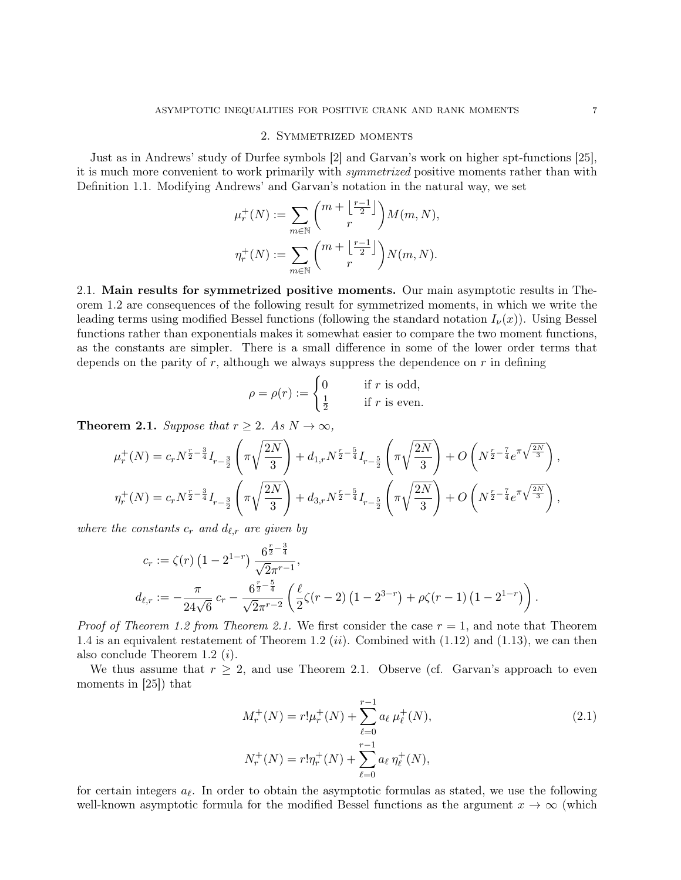## 2. Symmetrized moments

Just as in Andrews' study of Durfee symbols [2] and Garvan's work on higher spt-functions [25], it is much more convenient to work primarily with *symmetrized* positive moments rather than with Definition 1.1. Modifying Andrews' and Garvan's notation in the natural way, we set

$$
\mu_r^+(N) := \sum_{m \in \mathbb{N}} \binom{m + \left\lfloor \frac{r-1}{2} \right\rfloor}{r} M(m, N),
$$
  

$$
\eta_r^+(N) := \sum_{m \in \mathbb{N}} \binom{m + \left\lfloor \frac{r-1}{2} \right\rfloor}{r} N(m, N).
$$

2.1. Main results for symmetrized positive moments. Our main asymptotic results in Theorem 1.2 are consequences of the following result for symmetrized moments, in which we write the leading terms using modified Bessel functions (following the standard notation  $I_{\nu}(x)$ ). Using Bessel functions rather than exponentials makes it somewhat easier to compare the two moment functions, as the constants are simpler. There is a small difference in some of the lower order terms that depends on the parity of  $r$ , although we always suppress the dependence on  $r$  in defining

$$
\rho = \rho(r) := \begin{cases} 0 & \text{if } r \text{ is odd,} \\ \frac{1}{2} & \text{if } r \text{ is even.} \end{cases}
$$

**Theorem 2.1.** Suppose that  $r \geq 2$ . As  $N \to \infty$ ,

$$
\mu_r^+(N) = c_r N^{\frac{r}{2} - \frac{3}{4}} I_{r-\frac{3}{2}} \left( \pi \sqrt{\frac{2N}{3}} \right) + d_{1,r} N^{\frac{r}{2} - \frac{5}{4}} I_{r-\frac{5}{2}} \left( \pi \sqrt{\frac{2N}{3}} \right) + O\left(N^{\frac{r}{2} - \frac{7}{4}} e^{\pi \sqrt{\frac{2N}{3}}} \right),
$$
  

$$
\eta_r^+(N) = c_r N^{\frac{r}{2} - \frac{3}{4}} I_{r-\frac{3}{2}} \left( \pi \sqrt{\frac{2N}{3}} \right) + d_{3,r} N^{\frac{r}{2} - \frac{5}{4}} I_{r-\frac{5}{2}} \left( \pi \sqrt{\frac{2N}{3}} \right) + O\left(N^{\frac{r}{2} - \frac{7}{4}} e^{\pi \sqrt{\frac{2N}{3}}} \right),
$$

where the constants  $c_r$  and  $d_{\ell,r}$  are given by

$$
c_r := \zeta(r) \left(1 - 2^{1-r}\right) \frac{6^{\frac{r}{2} - \frac{3}{4}}}{\sqrt{2\pi}^{r-1}},
$$
  

$$
d_{\ell,r} := -\frac{\pi}{24\sqrt{6}} c_r - \frac{6^{\frac{r}{2} - \frac{5}{4}}}{\sqrt{2\pi}^{r-2}} \left(\frac{\ell}{2}\zeta(r-2) \left(1 - 2^{3-r}\right) + \rho\zeta(r-1) \left(1 - 2^{1-r}\right)\right).
$$

*Proof of Theorem 1.2 from Theorem 2.1.* We first consider the case  $r = 1$ , and note that Theorem 1.4 is an equivalent restatement of Theorem 1.2  $(ii)$ . Combined with  $(1.12)$  and  $(1.13)$ , we can then also conclude Theorem 1.2 (i).

We thus assume that  $r \geq 2$ , and use Theorem 2.1. Observe (cf. Garvan's approach to even moments in [25]) that

$$
M_r^+(N) = r! \mu_r^+(N) + \sum_{\ell=0}^{r-1} a_{\ell} \mu_{\ell}^+(N),
$$
  
\n
$$
N_r^+(N) = r! \eta_r^+(N) + \sum_{\ell=0}^{r-1} a_{\ell} \eta_{\ell}^+(N),
$$
\n(2.1)

for certain integers  $a_{\ell}$ . In order to obtain the asymptotic formulas as stated, we use the following well-known asymptotic formula for the modified Bessel functions as the argument  $x \to \infty$  (which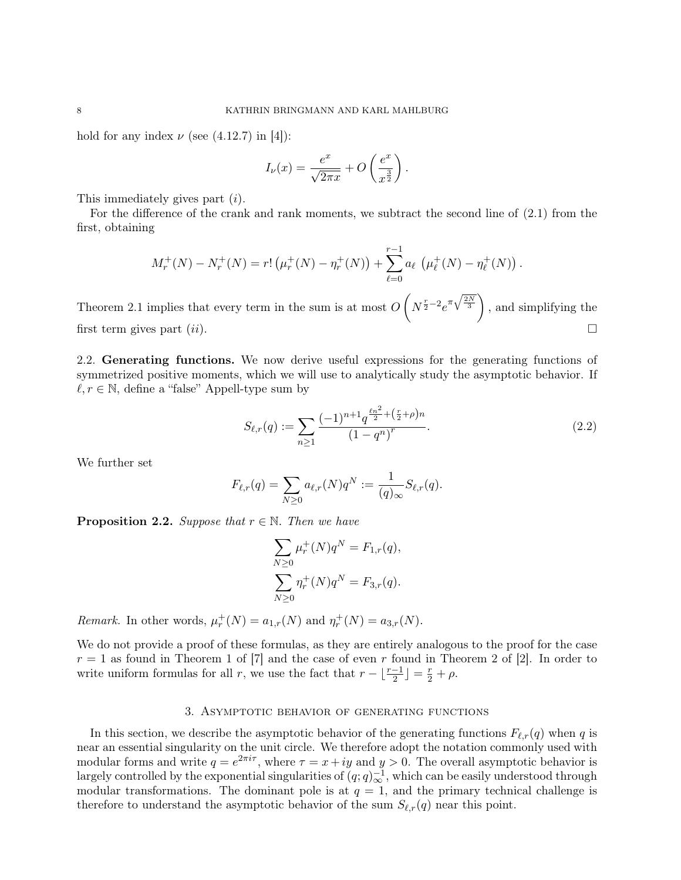hold for any index  $\nu$  (see (4.12.7) in [4]):

$$
I_{\nu}(x) = \frac{e^x}{\sqrt{2\pi x}} + O\left(\frac{e^x}{x^{\frac{3}{2}}}\right).
$$

This immediately gives part (i).

For the difference of the crank and rank moments, we subtract the second line of (2.1) from the first, obtaining

$$
M_r^+(N) - N_r^+(N) = r! \left( \mu_r^+(N) - \eta_r^+(N) \right) + \sum_{\ell=0}^{r-1} a_{\ell} \left( \mu_{\ell}^+(N) - \eta_{\ell}^+(N) \right).
$$

Theorem 2.1 implies that every term in the sum is at most  $O(N^{\frac{r}{2}-2}e^{\pi\sqrt{\frac{2N}{3}}})$ , and simplifying the first term gives part  $(ii)$ .

2.2. Generating functions. We now derive useful expressions for the generating functions of symmetrized positive moments, which we will use to analytically study the asymptotic behavior. If  $\ell, r \in \mathbb{N}$ , define a "false" Appell-type sum by

$$
S_{\ell,r}(q) := \sum_{n\geq 1} \frac{(-1)^{n+1} q^{\frac{\ell n^2}{2} + (\frac{r}{2} + \rho)n}}{(1 - q^n)^r}.
$$
\n(2.2)

We further set

$$
F_{\ell,r}(q) = \sum_{N \geq 0} a_{\ell,r}(N) q^N := \frac{1}{(q)_{\infty}} S_{\ell,r}(q).
$$

**Proposition 2.2.** Suppose that  $r \in \mathbb{N}$ . Then we have

$$
\sum_{N\geq 0} \mu_r^+(N)q^N = F_{1,r}(q),
$$
  

$$
\sum_{N\geq 0} \eta_r^+(N)q^N = F_{3,r}(q).
$$

Remark. In other words,  $\mu_r^+(N) = a_{1,r}(N)$  and  $\eta_r^+(N) = a_{3,r}(N)$ .

We do not provide a proof of these formulas, as they are entirely analogous to the proof for the case  $r = 1$  as found in Theorem 1 of [7] and the case of even r found in Theorem 2 of [2]. In order to write uniform formulas for all r, we use the fact that  $r - \lfloor \frac{r-1}{2} \rfloor = \frac{r}{2} + \rho$ .

## 3. Asymptotic behavior of generating functions

In this section, we describe the asymptotic behavior of the generating functions  $F_{\ell,r}(q)$  when q is near an essential singularity on the unit circle. We therefore adopt the notation commonly used with modular forms and write  $q = e^{2\pi i \tau}$ , where  $\tau = x + iy$  and  $y > 0$ . The overall asymptotic behavior is largely controlled by the exponential singularities of  $(q; q)_\infty^{-1}$ , which can be easily understood through modular transformations. The dominant pole is at  $q = 1$ , and the primary technical challenge is therefore to understand the asymptotic behavior of the sum  $S_{\ell,r}(q)$  near this point.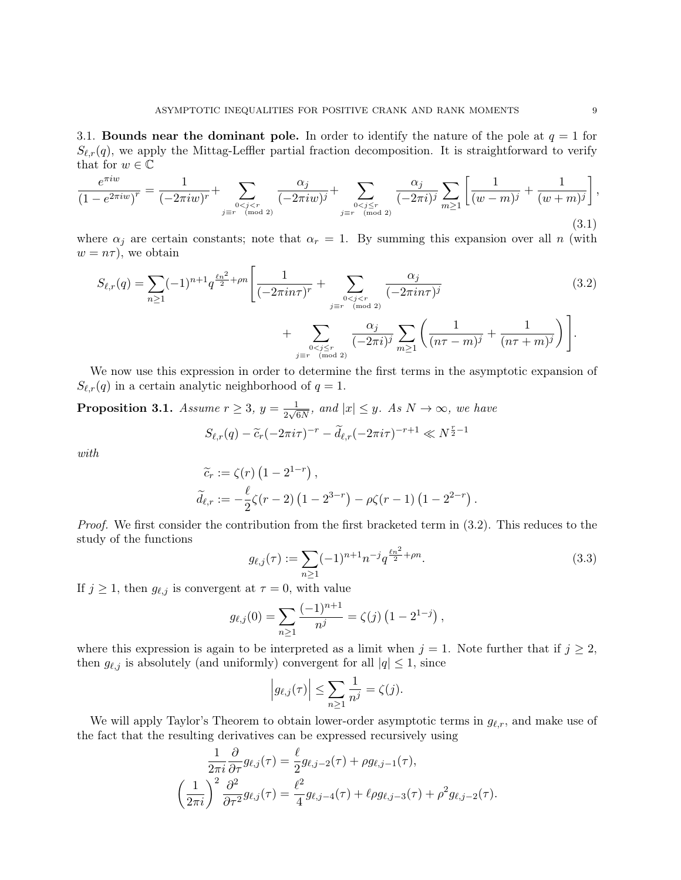3.1. Bounds near the dominant pole. In order to identify the nature of the pole at  $q = 1$  for  $S_{\ell,r}(q)$ , we apply the Mittag-Leffler partial fraction decomposition. It is straightforward to verify that for  $w \in \mathbb{C}$ 

$$
\frac{e^{\pi i w}}{(1 - e^{2\pi i w})^r} = \frac{1}{(-2\pi i w)^r} + \sum_{\substack{0 < j < r \\ j \equiv r \pmod{2}}} \frac{\alpha_j}{(-2\pi i w)^j} + \sum_{\substack{0 < j \le r \\ j \equiv r \pmod{2}}} \frac{\alpha_j}{(-2\pi i)^j} \sum_{m \ge 1} \left[ \frac{1}{(w - m)^j} + \frac{1}{(w + m)^j} \right],\tag{3.1}
$$

where  $\alpha_j$  are certain constants; note that  $\alpha_r = 1$ . By summing this expansion over all n (with  $w = n\tau$ , we obtain

$$
S_{\ell,r}(q) = \sum_{n\geq 1} (-1)^{n+1} q^{\frac{\ell n^2}{2} + \rho n} \left[ \frac{1}{(-2\pi i n \tau)^r} + \sum_{\substack{0 < j < r \\ j \equiv r \pmod{2}}} \frac{\alpha_j}{(-2\pi i n \tau)^j} + \sum_{\substack{0 < j < r \\ j \equiv r \pmod{2}}} \frac{\alpha_j}{(-2\pi i)^j} \sum_{m \geq 1} \left( \frac{1}{(n\tau - m)^j} + \frac{1}{(n\tau + m)^j} \right) \right]. \tag{3.2}
$$

We now use this expression in order to determine the first terms in the asymptotic expansion of  $S_{\ell,r}(q)$  in a certain analytic neighborhood of  $q = 1$ .

**Proposition 3.1.** Assume  $r \geq 3$ ,  $y = \frac{1}{2\sqrt{3}}$  $\frac{1}{2\sqrt{6N}}$ , and  $|x| \leq y$ . As  $N \to \infty$ , we have  $S_{\ell,r}(q) - \tilde{c}_r(-2\pi i\tau)^{-r} - \tilde{d}_{\ell,r}(-2\pi i\tau)^{-r+1} \ll N^{\frac{r}{2}-1}$ 

with

$$
\widetilde{c}_r := \zeta(r) \left( 1 - 2^{1-r} \right), \n\widetilde{d}_{\ell,r} := -\frac{\ell}{2} \zeta(r-2) \left( 1 - 2^{3-r} \right) - \rho \zeta(r-1) \left( 1 - 2^{2-r} \right).
$$

Proof. We first consider the contribution from the first bracketed term in  $(3.2)$ . This reduces to the study of the functions

$$
g_{\ell,j}(\tau) := \sum_{n \ge 1} (-1)^{n+1} n^{-j} q^{\frac{\ell n^2}{2} + \rho n}.
$$
 (3.3)

If  $j \geq 1$ , then  $g_{\ell,j}$  is convergent at  $\tau = 0$ , with value

$$
g_{\ell,j}(0) = \sum_{n\geq 1} \frac{(-1)^{n+1}}{n^j} = \zeta(j) \left(1 - 2^{1-j}\right),
$$

where this expression is again to be interpreted as a limit when  $j = 1$ . Note further that if  $j \geq 2$ , then  $g_{\ell,j}$  is absolutely (and uniformly) convergent for all  $|q| \leq 1$ , since

$$
\left|g_{\ell,j}(\tau)\right| \leq \sum_{n\geq 1} \frac{1}{n^j} = \zeta(j).
$$

We will apply Taylor's Theorem to obtain lower-order asymptotic terms in  $g_{\ell,r}$ , and make use of the fact that the resulting derivatives can be expressed recursively using

$$
\frac{1}{2\pi i} \frac{\partial}{\partial \tau} g_{\ell,j}(\tau) = \frac{\ell}{2} g_{\ell,j-2}(\tau) + \rho g_{\ell,j-1}(\tau),
$$

$$
\left(\frac{1}{2\pi i}\right)^2 \frac{\partial^2}{\partial \tau^2} g_{\ell,j}(\tau) = \frac{\ell^2}{4} g_{\ell,j-4}(\tau) + \ell \rho g_{\ell,j-3}(\tau) + \rho^2 g_{\ell,j-2}(\tau).
$$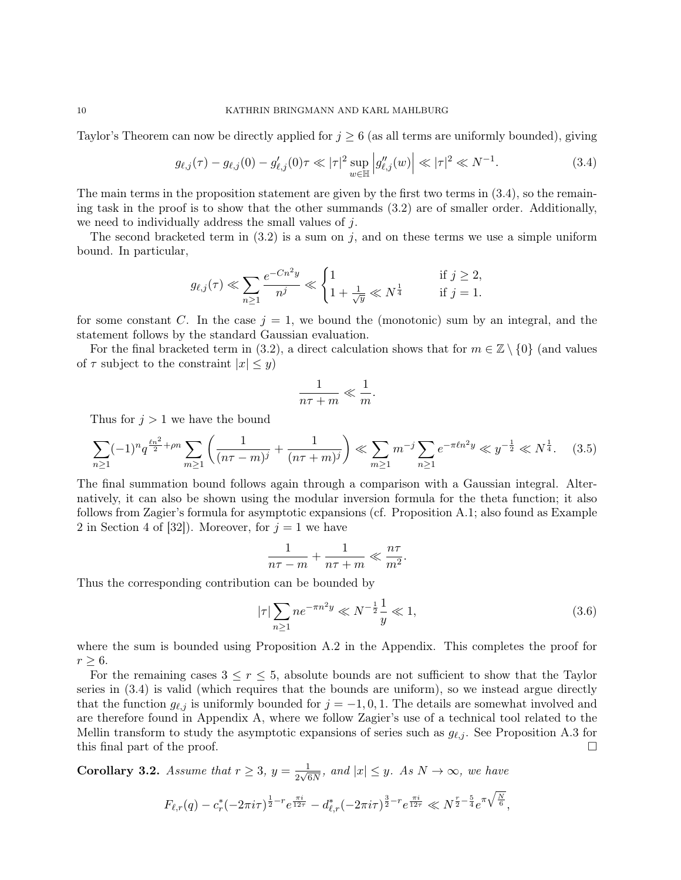Taylor's Theorem can now be directly applied for  $j \geq 6$  (as all terms are uniformly bounded), giving

$$
g_{\ell,j}(\tau) - g_{\ell,j}(0) - g'_{\ell,j}(0)\tau \ll |\tau|^2 \sup_{w \in \mathbb{H}} \left| g''_{\ell,j}(w) \right| \ll |\tau|^2 \ll N^{-1}.
$$
 (3.4)

The main terms in the proposition statement are given by the first two terms in (3.4), so the remaining task in the proof is to show that the other summands (3.2) are of smaller order. Additionally, we need to individually address the small values of  $i$ .

The second bracketed term in  $(3.2)$  is a sum on j, and on these terms we use a simple uniform bound. In particular,

$$
g_{\ell,j}(\tau) \ll \sum_{n\geq 1} \frac{e^{-Cn^2y}}{n^j} \ll \begin{cases} 1 & \text{if } j \geq 2, \\ 1 + \frac{1}{\sqrt{y}} \ll N^{\frac{1}{4}} & \text{if } j = 1. \end{cases}
$$

for some constant C. In the case  $j = 1$ , we bound the (monotonic) sum by an integral, and the statement follows by the standard Gaussian evaluation.

For the final bracketed term in (3.2), a direct calculation shows that for  $m \in \mathbb{Z} \setminus \{0\}$  (and values of  $\tau$  subject to the constraint  $|x| \leq y$ 

$$
\frac{1}{n\tau+m} \ll \frac{1}{m}.
$$

Thus for  $j > 1$  we have the bound

$$
\sum_{n\geq 1} (-1)^n q^{\frac{\ell n^2}{2} + \rho n} \sum_{m\geq 1} \left( \frac{1}{(n\tau - m)^j} + \frac{1}{(n\tau + m)^j} \right) \ll \sum_{m\geq 1} m^{-j} \sum_{n\geq 1} e^{-\pi \ell n^2 y} \ll y^{-\frac{1}{2}} \ll N^{\frac{1}{4}}.
$$
 (3.5)

The final summation bound follows again through a comparison with a Gaussian integral. Alternatively, it can also be shown using the modular inversion formula for the theta function; it also follows from Zagier's formula for asymptotic expansions (cf. Proposition A.1; also found as Example 2 in Section 4 of [32]). Moreover, for  $j = 1$  we have

$$
\frac{1}{n\tau - m} + \frac{1}{n\tau + m} \ll \frac{n\tau}{m^2}.
$$

Thus the corresponding contribution can be bounded by

$$
|\tau| \sum_{n \ge 1} n e^{-\pi n^2 y} \ll N^{-\frac{1}{2}} \frac{1}{y} \ll 1,
$$
\n(3.6)

where the sum is bounded using Proposition A.2 in the Appendix. This completes the proof for  $r \geq 6$ .

For the remaining cases  $3 \leq r \leq 5$ , absolute bounds are not sufficient to show that the Taylor series in (3.4) is valid (which requires that the bounds are uniform), so we instead argue directly that the function  $g_{\ell,j}$  is uniformly bounded for  $j = -1, 0, 1$ . The details are somewhat involved and are therefore found in Appendix A, where we follow Zagier's use of a technical tool related to the Mellin transform to study the asymptotic expansions of series such as  $g_{\ell,j}$ . See Proposition A.3 for this final part of the proof.

Corollary 3.2. Assume that  $r \geq 3$ ,  $y = \frac{1}{2\sqrt{3}}$  $\frac{1}{2\sqrt{6N}}$ , and  $|x| \leq y$ . As  $N \to \infty$ , we have

$$
F_{\ell,r}(q) - c_r^*(-2\pi i\tau)^{\frac{1}{2}-r}e^{\frac{\pi i}{12\tau}} - d_{\ell,r}^*(-2\pi i\tau)^{\frac{3}{2}-r}e^{\frac{\pi i}{12\tau}} \ll N^{\frac{r}{2}-\frac{5}{4}}e^{\pi\sqrt{\frac{N}{6}}},
$$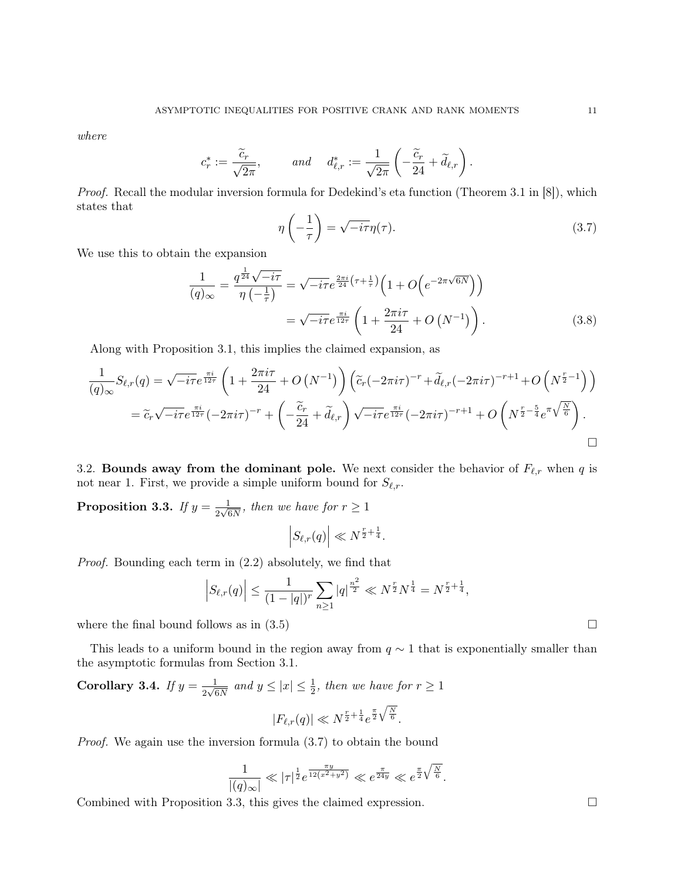where

$$
c_r^* := \frac{\widetilde{c}_r}{\sqrt{2\pi}},
$$
 and  $d_{\ell,r}^* := \frac{1}{\sqrt{2\pi}} \left( -\frac{\widetilde{c}_r}{24} + \widetilde{d}_{\ell,r} \right).$ 

Proof. Recall the modular inversion formula for Dedekind's eta function (Theorem 3.1 in [8]), which states that

$$
\eta\left(-\frac{1}{\tau}\right) = \sqrt{-i\tau}\eta(\tau). \tag{3.7}
$$

We use this to obtain the expansion

$$
\frac{1}{(q)_{\infty}} = \frac{q^{\frac{1}{24}}\sqrt{-i\tau}}{\eta\left(-\frac{1}{\tau}\right)} = \sqrt{-i\tau}e^{\frac{2\pi i}{24}\left(\tau + \frac{1}{\tau}\right)}\left(1 + O\left(e^{-2\pi\sqrt{6N}}\right)\right)
$$

$$
= \sqrt{-i\tau}e^{\frac{\pi i}{12\tau}}\left(1 + \frac{2\pi i\tau}{24} + O\left(N^{-1}\right)\right). \tag{3.8}
$$

Along with Proposition 3.1, this implies the claimed expansion, as

$$
\frac{1}{(q)_{\infty}}S_{\ell,r}(q) = \sqrt{-i\tau}e^{\frac{\pi i}{12\tau}}\left(1 + \frac{2\pi i\tau}{24} + O\left(N^{-1}\right)\right)\left(\tilde{c}_r(-2\pi i\tau)^{-r} + \tilde{d}_{\ell,r}(-2\pi i\tau)^{-r+1} + O\left(N^{\frac{r}{2}-1}\right)\right)
$$
\n
$$
= \tilde{c}_r\sqrt{-i\tau}e^{\frac{\pi i}{12\tau}}(-2\pi i\tau)^{-r} + \left(-\frac{\tilde{c}_r}{24} + \tilde{d}_{\ell,r}\right)\sqrt{-i\tau}e^{\frac{\pi i}{12\tau}}(-2\pi i\tau)^{-r+1} + O\left(N^{\frac{r}{2}-\frac{5}{4}}e^{\pi\sqrt{\frac{N}{6}}}\right).
$$

3.2. Bounds away from the dominant pole. We next consider the behavior of  $F_{\ell,r}$  when q is not near 1. First, we provide a simple uniform bound for  $S_{\ell,r}$ .

Proposition 3.3. If  $y = \frac{1}{2\sqrt{2}}$  $\frac{1}{2\sqrt{6N}}$ , then we have for  $r \geq 1$ 

$$
\left|S_{\ell,r}(q)\right| \ll N^{\frac{r}{2} + \frac{1}{4}}.
$$

Proof. Bounding each term in (2.2) absolutely, we find that

$$
\left| S_{\ell,r}(q) \right| \leq \frac{1}{(1-|q|)^r} \sum_{n \geq 1} |q|^{\frac{n^2}{2}} \ll N^{\frac{r}{2}} N^{\frac{1}{4}} = N^{\frac{r}{2} + \frac{1}{4}},
$$

where the final bound follows as in  $(3.5)$ 

This leads to a uniform bound in the region away from  $q \sim 1$  that is exponentially smaller than the asymptotic formulas from Section 3.1.

Corollary 3.4. If  $y = \frac{1}{2\sqrt{3}}$  $\frac{1}{2\sqrt{6N}}$  and  $y \leq |x| \leq \frac{1}{2}$ , then we have for  $r \geq 1$ 

$$
|F_{\ell,r}(q)| \ll N^{\frac{r}{2} + \frac{1}{4}} e^{\frac{\pi}{2} \sqrt{\frac{N}{6}}}.
$$

Proof. We again use the inversion formula (3.7) to obtain the bound

$$
\frac{1}{|(q)_{\infty}|} \ll |\tau|^{\frac{1}{2}} e^{\frac{\pi y}{12(x^2+y^2)}} \ll e^{\frac{\pi}{24y}} \ll e^{\frac{\pi}{2}\sqrt{\frac{N}{6}}}.
$$

Combined with Proposition 3.3, this gives the claimed expression. □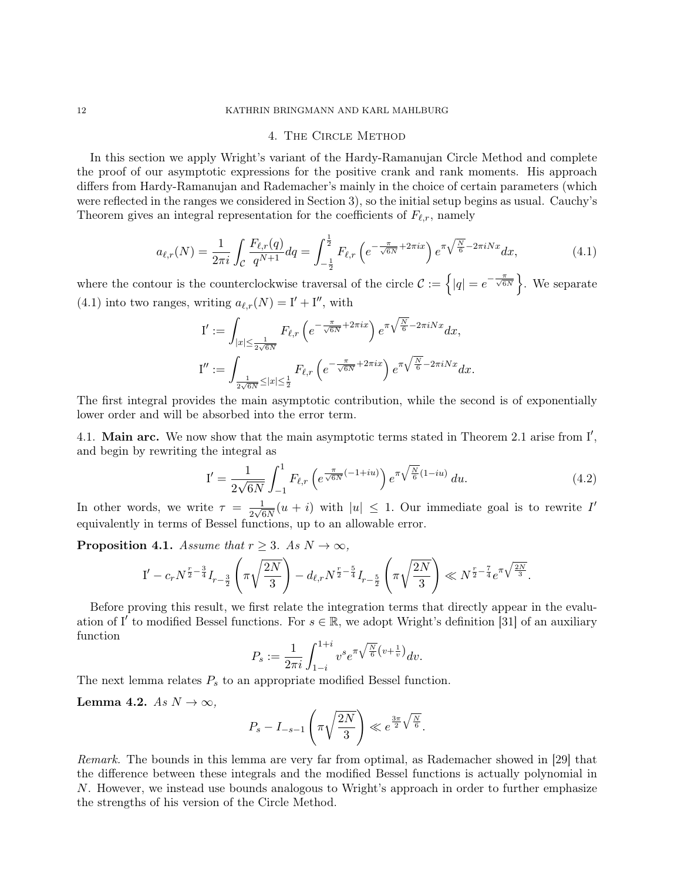### 12 KATHRIN BRINGMANN AND KARL MAHLBURG

### 4. The Circle Method

In this section we apply Wright's variant of the Hardy-Ramanujan Circle Method and complete the proof of our asymptotic expressions for the positive crank and rank moments. His approach differs from Hardy-Ramanujan and Rademacher's mainly in the choice of certain parameters (which were reflected in the ranges we considered in Section 3), so the initial setup begins as usual. Cauchy's Theorem gives an integral representation for the coefficients of  $F_{\ell,r}$ , namely

$$
a_{\ell,r}(N) = \frac{1}{2\pi i} \int_{\mathcal{C}} \frac{F_{\ell,r}(q)}{q^{N+1}} dq = \int_{-\frac{1}{2}}^{\frac{1}{2}} F_{\ell,r} \left( e^{-\frac{\pi}{\sqrt{6N}} + 2\pi ix} \right) e^{\pi \sqrt{\frac{N}{6}} - 2\pi i Nx} dx, \tag{4.1}
$$

where the contour is the counterclockwise traversal of the circle  $\mathcal{C} := \{ |q| = e^{-\frac{\pi}{\sqrt{6N}}} \}.$  We separate (4.1) into two ranges, writing  $a_{\ell,r}(N) = I' + I''$ , with

$$
\begin{split} \mathbf{I}' &:= \int_{|x| \leq \frac{1}{2\sqrt{6N}}} F_{\ell,r} \left( e^{-\frac{\pi}{\sqrt{6N}} + 2\pi ix} \right) e^{\pi \sqrt{\frac{N}{6}} - 2\pi i Nx} dx, \\ \mathbf{I}'' &:= \int_{\frac{1}{2\sqrt{6N}} \leq |x| \leq \frac{1}{2}} F_{\ell,r} \left( e^{-\frac{\pi}{\sqrt{6N}} + 2\pi ix} \right) e^{\pi \sqrt{\frac{N}{6}} - 2\pi i Nx} dx. \end{split}
$$

The first integral provides the main asymptotic contribution, while the second is of exponentially lower order and will be absorbed into the error term.

4.1. Main arc. We now show that the main asymptotic terms stated in Theorem 2.1 arise from I', and begin by rewriting the integral as

$$
\mathcal{I}' = \frac{1}{2\sqrt{6N}} \int_{-1}^{1} F_{\ell,r} \left( e^{\frac{\pi}{\sqrt{6N}}(-1+iu)} \right) e^{\pi \sqrt{\frac{N}{6}}(1-iu)} du. \tag{4.2}
$$

In other words, we write  $\tau = \frac{1}{2\sqrt{6}}$  $\frac{1}{2\sqrt{6N}}(u+i)$  with  $|u| \leq 1$ . Our immediate goal is to rewrite I' equivalently in terms of Bessel functions, up to an allowable error.

**Proposition 4.1.** Assume that  $r \geq 3$ . As  $N \to \infty$ ,

$$
\mathbf{I}' - c_r N^{\frac{r}{2} - \frac{3}{4}} I_{r-\frac{3}{2}}\left(\pi\sqrt{\frac{2N}{3}}\right) - d_{\ell,r} N^{\frac{r}{2} - \frac{5}{4}} I_{r-\frac{5}{2}}\left(\pi\sqrt{\frac{2N}{3}}\right) \ll N^{\frac{r}{2} - \frac{7}{4}} e^{\pi\sqrt{\frac{2N}{3}}}.
$$

Before proving this result, we first relate the integration terms that directly appear in the evaluation of I' to modified Bessel functions. For  $s \in \mathbb{R}$ , we adopt Wright's definition [31] of an auxiliary function

$$
P_s := \frac{1}{2\pi i} \int_{1-i}^{1+i} v^s e^{\pi \sqrt{\frac{N}{6}} \left(v + \frac{1}{v}\right)} dv.
$$

The next lemma relates  $P_s$  to an appropriate modified Bessel function.

Lemma 4.2. As  $N \to \infty$ ,

$$
P_s - I_{-s-1}\left(\pi\sqrt{\frac{2N}{3}}\right) \ll e^{\frac{3\pi}{2}\sqrt{\frac{N}{6}}}.
$$

Remark. The bounds in this lemma are very far from optimal, as Rademacher showed in [29] that the difference between these integrals and the modified Bessel functions is actually polynomial in N. However, we instead use bounds analogous to Wright's approach in order to further emphasize the strengths of his version of the Circle Method.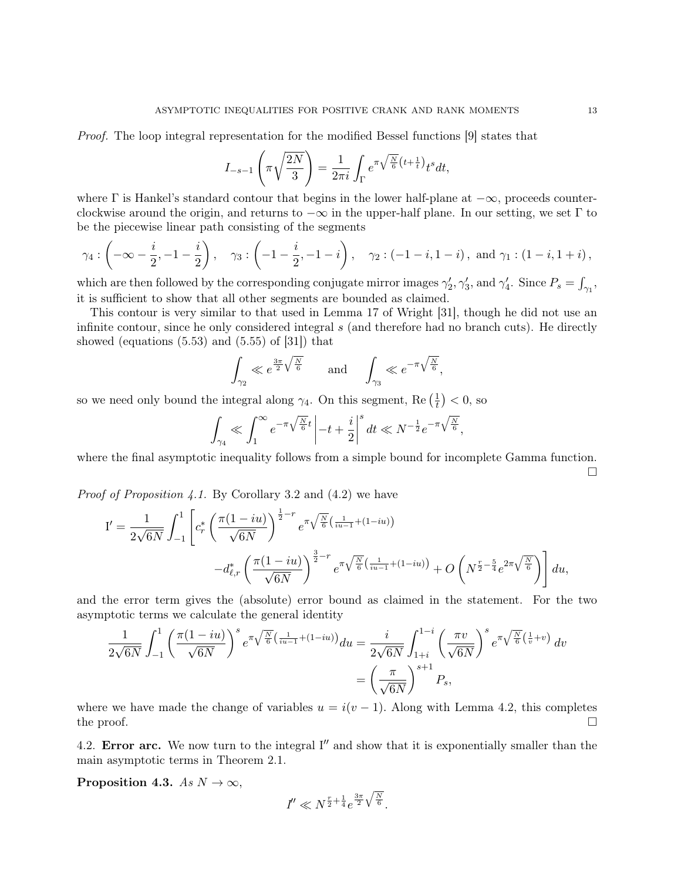Proof. The loop integral representation for the modified Bessel functions [9] states that

$$
I_{-s-1}\left(\pi\sqrt{\frac{2N}{3}}\right) = \frac{1}{2\pi i} \int_{\Gamma} e^{\pi\sqrt{\frac{N}{6}}\left(t + \frac{1}{t}\right)} t^s dt,
$$

where  $\Gamma$  is Hankel's standard contour that begins in the lower half-plane at  $-\infty$ , proceeds counterclockwise around the origin, and returns to  $-\infty$  in the upper-half plane. In our setting, we set  $\Gamma$  to be the piecewise linear path consisting of the segments

$$
\gamma_4: \left(-\infty - \frac{i}{2}, -1 - \frac{i}{2}\right), \quad \gamma_3: \left(-1 - \frac{i}{2}, -1 - i\right), \quad \gamma_2: (-1 - i, 1 - i), \text{ and } \gamma_1: (1 - i, 1 + i),
$$

which are then followed by the corresponding conjugate mirror images  $\gamma'_2, \gamma'_3$ , and  $\gamma'_4$ . Since  $P_s = \int_{\gamma_1}$ , it is sufficient to show that all other segments are bounded as claimed.

This contour is very similar to that used in Lemma 17 of Wright [31], though he did not use an infinite contour, since he only considered integral s (and therefore had no branch cuts). He directly showed (equations  $(5.53)$  and  $(5.55)$  of  $[31]$ ) that

$$
\int_{\gamma_2} \ll e^{\frac{3\pi}{2}\sqrt{\frac{N}{6}}} \qquad \text{and} \qquad \int_{\gamma_3} \ll e^{-\pi\sqrt{\frac{N}{6}}},
$$

so we need only bound the integral along  $\gamma_4$ . On this segment, Re  $(\frac{1}{t})$  $(\frac{1}{t})$  < 0, so

$$
\int_{\gamma_4} \ll \int_1^\infty e^{-\pi\sqrt{\frac{N}{6}}t}\left|-t+\frac{i}{2}\right|^s dt \ll N^{-\frac{1}{2}}e^{-\pi\sqrt{\frac{N}{6}}},
$$

where the final asymptotic inequality follows from a simple bound for incomplete Gamma function.  $\Box$ 

Proof of Proposition 4.1. By Corollary 3.2 and (4.2) we have

$$
I' = \frac{1}{2\sqrt{6N}} \int_{-1}^{1} \left[ c_r^* \left( \frac{\pi(1-iu)}{\sqrt{6N}} \right)^{\frac{1}{2}-r} e^{\pi \sqrt{\frac{N}{6}} \left( \frac{1}{iu-1} + (1-iu) \right)} - d_{\ell,r}^* \left( \frac{\pi(1-iu)}{\sqrt{6N}} \right)^{\frac{3}{2}-r} e^{\pi \sqrt{\frac{N}{6}} \left( \frac{1}{iu-1} + (1-iu) \right)} + O\left(N^{\frac{r}{2}-\frac{5}{4}} e^{2\pi \sqrt{\frac{N}{6}}} \right) \right] du,
$$

and the error term gives the (absolute) error bound as claimed in the statement. For the two asymptotic terms we calculate the general identity

$$
\frac{1}{2\sqrt{6N}} \int_{-1}^{1} \left( \frac{\pi(1-iu)}{\sqrt{6N}} \right)^s e^{\pi \sqrt{\frac{N}{6}} \left( \frac{1}{iu-1} + (1-iu) \right)} du = \frac{i}{2\sqrt{6N}} \int_{1+i}^{1-i} \left( \frac{\pi v}{\sqrt{6N}} \right)^s e^{\pi \sqrt{\frac{N}{6}} \left( \frac{1}{v} + v \right)} dv
$$

$$
= \left( \frac{\pi}{\sqrt{6N}} \right)^{s+1} P_s,
$$

where we have made the change of variables  $u = i(v - 1)$ . Along with Lemma 4.2, this completes the proof.  $\Box$ 

4.2. Error arc. We now turn to the integral  $I''$  and show that it is exponentially smaller than the main asymptotic terms in Theorem 2.1.

Proposition 4.3. As  $N \to \infty$ ,

$$
I'' \ll N^{\frac{r}{2} + \frac{1}{4}} e^{\frac{3\pi}{2} \sqrt{\frac{N}{6}}}.
$$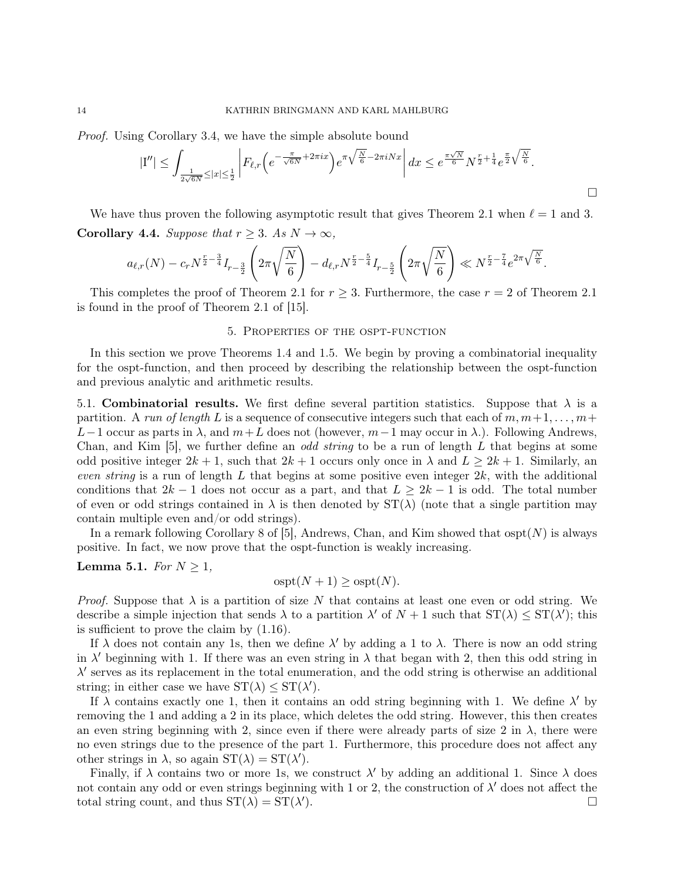Proof. Using Corollary 3.4, we have the simple absolute bound

$$
|\mathcal{I}''|\leq \int_{\frac{1}{2\sqrt{6N}}\leq |x|\leq \frac{1}{2}} \left| F_{\ell,r}\left(e^{-\frac{\pi}{\sqrt{6N}}+2\pi ix}\right)e^{\pi\sqrt{\frac{N}{6}}-2\pi iNx} \right| dx \leq e^{\frac{\pi\sqrt{N}}{6}}N^{\frac{r}{2}+\frac{1}{4}}e^{\frac{\pi}{2}\sqrt{\frac{N}{6}}}.
$$

We have thus proven the following asymptotic result that gives Theorem 2.1 when  $\ell = 1$  and 3. **Corollary 4.4.** Suppose that  $r \geq 3$ . As  $N \to \infty$ ,

$$
a_{\ell,r}(N) - c_r N^{\frac{r}{2} - \frac{3}{4}} I_{r-\frac{3}{2}}\left(2\pi\sqrt{\frac{N}{6}}\right) - d_{\ell,r} N^{\frac{r}{2} - \frac{5}{4}} I_{r-\frac{5}{2}}\left(2\pi\sqrt{\frac{N}{6}}\right) \ll N^{\frac{r}{2} - \frac{7}{4}} e^{2\pi\sqrt{\frac{N}{6}}}.
$$

This completes the proof of Theorem 2.1 for  $r \geq 3$ . Furthermore, the case  $r = 2$  of Theorem 2.1 is found in the proof of Theorem 2.1 of [15].

#### 5. Properties of the ospt-function

In this section we prove Theorems 1.4 and 1.5. We begin by proving a combinatorial inequality for the ospt-function, and then proceed by describing the relationship between the ospt-function and previous analytic and arithmetic results.

5.1. Combinatorial results. We first define several partition statistics. Suppose that  $\lambda$  is a partition. A run of length L is a sequence of consecutive integers such that each of  $m, m+1, \ldots, m+1$ L−1 occur as parts in  $\lambda$ , and  $m+L$  does not (however,  $m-1$  may occur in  $\lambda$ .). Following Andrews, Chan, and Kim [5], we further define an *odd string* to be a run of length  $L$  that begins at some odd positive integer  $2k + 1$ , such that  $2k + 1$  occurs only once in  $\lambda$  and  $L \geq 2k + 1$ . Similarly, an even string is a run of length L that begins at some positive even integer  $2k$ , with the additional conditions that  $2k-1$  does not occur as a part, and that  $L \geq 2k-1$  is odd. The total number of even or odd strings contained in  $\lambda$  is then denoted by  $ST(\lambda)$  (note that a single partition may contain multiple even and/or odd strings).

In a remark following Corollary 8 of [5], Andrews, Chan, and Kim showed that  $\text{ospt}(N)$  is always positive. In fact, we now prove that the ospt-function is weakly increasing.

## Lemma 5.1. For  $N \geq 1$ ,

$$
ospt(N + 1) \geq ospt(N).
$$

*Proof.* Suppose that  $\lambda$  is a partition of size N that contains at least one even or odd string. We describe a simple injection that sends  $\lambda$  to a partition  $\lambda'$  of  $N+1$  such that  $ST(\lambda) \leq ST(\lambda')$ ; this is sufficient to prove the claim by (1.16).

If  $\lambda$  does not contain any 1s, then we define  $\lambda'$  by adding a 1 to  $\lambda$ . There is now an odd string in  $\lambda'$  beginning with 1. If there was an even string in  $\lambda$  that began with 2, then this odd string in  $\lambda'$  serves as its replacement in the total enumeration, and the odd string is otherwise an additional string; in either case we have  $ST(\lambda) \leq ST(\lambda')$ .

If  $\lambda$  contains exactly one 1, then it contains an odd string beginning with 1. We define  $\lambda'$  by removing the 1 and adding a 2 in its place, which deletes the odd string. However, this then creates an even string beginning with 2, since even if there were already parts of size 2 in  $\lambda$ , there were no even strings due to the presence of the part 1. Furthermore, this procedure does not affect any other strings in  $\lambda$ , so again  $ST(\lambda) = ST(\lambda')$ .

Finally, if  $\lambda$  contains two or more 1s, we construct  $\lambda'$  by adding an additional 1. Since  $\lambda$  does not contain any odd or even strings beginning with 1 or 2, the construction of  $\lambda'$  does not affect the total string count, and thus  $ST(\lambda) = ST(\lambda')$ ).  $\Box$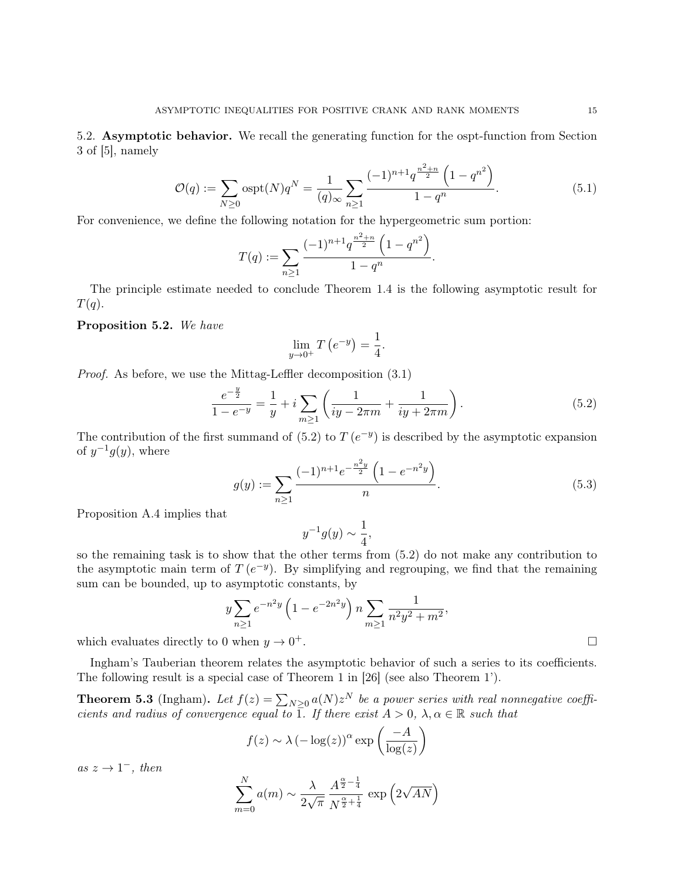5.2. Asymptotic behavior. We recall the generating function for the ospt-function from Section 3 of [5], namely

$$
\mathcal{O}(q) := \sum_{N \ge 0} \text{ospt}(N) q^N = \frac{1}{(q)_{\infty}} \sum_{n \ge 1} \frac{(-1)^{n+1} q^{\frac{n^2+n}{2}} \left(1 - q^{n^2}\right)}{1 - q^n}.
$$
\n(5.1)

For convenience, we define the following notation for the hypergeometric sum portion:

$$
T(q) := \sum_{n\geq 1} \frac{(-1)^{n+1} q^{\frac{n^2+n}{2}} \left(1 - q^{n^2}\right)}{1 - q^n}.
$$

The principle estimate needed to conclude Theorem 1.4 is the following asymptotic result for  $T(q)$ .

## Proposition 5.2. We have

$$
\lim_{y \to 0^+} T\left(e^{-y}\right) = \frac{1}{4}.
$$

Proof. As before, we use the Mittag-Leffler decomposition (3.1)

$$
\frac{e^{-\frac{y}{2}}}{1 - e^{-y}} = \frac{1}{y} + i \sum_{m \ge 1} \left( \frac{1}{iy - 2\pi m} + \frac{1}{iy + 2\pi m} \right).
$$
 (5.2)

The contribution of the first summand of  $(5.2)$  to  $T(e^{-y})$  is described by the asymptotic expansion of  $y^{-1}g(y)$ , where

$$
g(y) := \sum_{n\geq 1} \frac{(-1)^{n+1} e^{-\frac{n^2 y}{2}} \left(1 - e^{-n^2 y}\right)}{n}.
$$
 (5.3)

Proposition A.4 implies that

$$
y^{-1}g(y) \sim \frac{1}{4},
$$

so the remaining task is to show that the other terms from (5.2) do not make any contribution to the asymptotic main term of  $T(e^{-y})$ . By simplifying and regrouping, we find that the remaining sum can be bounded, up to asymptotic constants, by

$$
y \sum_{n\geq 1} e^{-n^2 y} \left( 1 - e^{-2n^2 y} \right) n \sum_{m\geq 1} \frac{1}{n^2 y^2 + m^2},
$$
  
0 when  $y \to 0^+$ .

which evaluates directly to  $0$ 

Ingham's Tauberian theorem relates the asymptotic behavior of such a series to its coefficients. The following result is a special case of Theorem 1 in [26] (see also Theorem 1').

**Theorem 5.3** (Ingham). Let  $f(z) = \sum_{N\geq 0} a(N)z^N$  be a power series with real nonnegative coefficients and radius of convergence equal to 1. If there exist  $A > 0$ ,  $\lambda, \alpha \in \mathbb{R}$  such that

$$
f(z) \sim \lambda \left(-\log(z)\right)^{\alpha} \exp\left(\frac{-A}{\log(z)}\right)
$$

as  $z \to 1^-$ , then

$$
\sum_{m=0}^{N} a(m) \sim \frac{\lambda}{2\sqrt{\pi}} \frac{A^{\frac{\alpha}{2} - \frac{1}{4}}}{N^{\frac{\alpha}{2} + \frac{1}{4}}} \exp\left(2\sqrt{AN}\right)
$$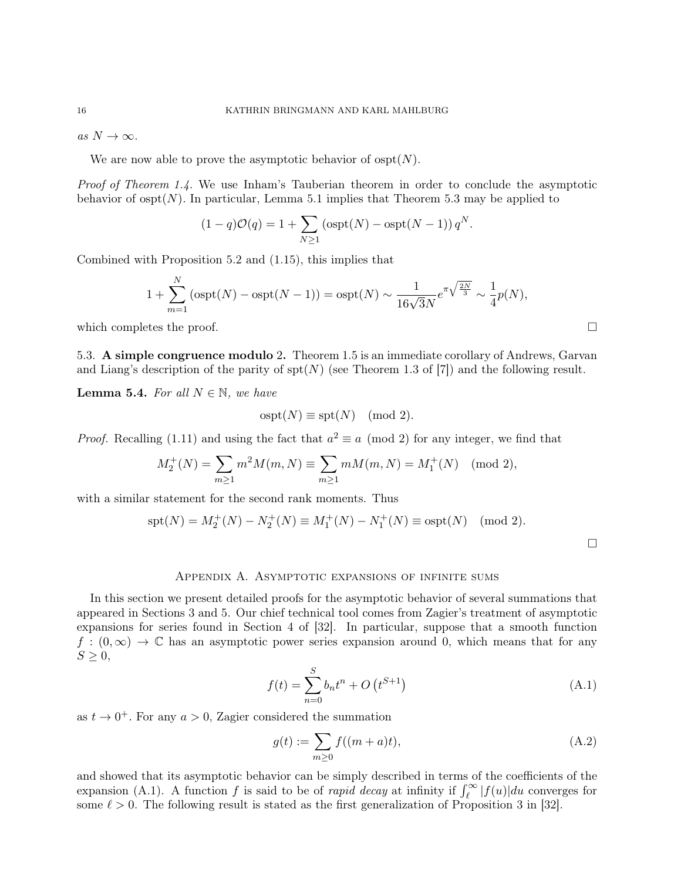as  $N \to \infty$ .

We are now able to prove the asymptotic behavior of  $\text{ospt}(N)$ .

Proof of Theorem 1.4. We use Inham's Tauberian theorem in order to conclude the asymptotic behavior of  $\text{ospt}(N)$ . In particular, Lemma 5.1 implies that Theorem 5.3 may be applied to

$$
(1-q)\mathcal{O}(q) = 1 + \sum_{N \ge 1} \left( \operatorname{ospt}(N) - \operatorname{ospt}(N-1) \right) q^N.
$$

Combined with Proposition 5.2 and (1.15), this implies that

$$
1 + \sum_{m=1}^{N} (o spt(N) - o spt(N-1)) = o spt(N) \sim \frac{1}{16\sqrt{3}N} e^{\pi \sqrt{\frac{2N}{3}}} \sim \frac{1}{4} p(N),
$$

which completes the proof.  $\square$ 

5.3. A simple congruence modulo 2. Theorem 1.5 is an immediate corollary of Andrews, Garvan and Liang's description of the parity of  $\text{spt}(N)$  (see Theorem 1.3 of [7]) and the following result.

**Lemma 5.4.** For all  $N \in \mathbb{N}$ , we have

$$
ospt(N) \equiv spt(N) \pmod{2}.
$$

*Proof.* Recalling (1.11) and using the fact that  $a^2 \equiv a \pmod{2}$  for any integer, we find that

$$
M_2^+(N) = \sum_{m \ge 1} m^2 M(m, N) \equiv \sum_{m \ge 1} m M(m, N) = M_1^+(N) \pmod{2},
$$

with a similar statement for the second rank moments. Thus

$$
spt(N) = M_2^+(N) - N_2^+(N) \equiv M_1^+(N) - N_1^+(N) \equiv spt(N) \pmod{2}.
$$

 $\Box$ 

#### Appendix A. Asymptotic expansions of infinite sums

In this section we present detailed proofs for the asymptotic behavior of several summations that appeared in Sections 3 and 5. Our chief technical tool comes from Zagier's treatment of asymptotic expansions for series found in Section 4 of [32]. In particular, suppose that a smooth function  $f:(0,\infty) \to \mathbb{C}$  has an asymptotic power series expansion around 0, which means that for any  $S \geq 0$ ,

$$
f(t) = \sum_{n=0}^{S} b_n t^n + O(t^{S+1})
$$
 (A.1)

as  $t \to 0^+$ . For any  $a > 0$ , Zagier considered the summation

$$
g(t) := \sum_{m \ge 0} f((m+a)t),
$$
 (A.2)

and showed that its asymptotic behavior can be simply described in terms of the coefficients of the expansion (A.1). A function f is said to be of *rapid decay* at infinity if  $\int_{\ell}^{\infty} |f(u)|du$  converges for some  $\ell > 0$ . The following result is stated as the first generalization of Proposition 3 in [32].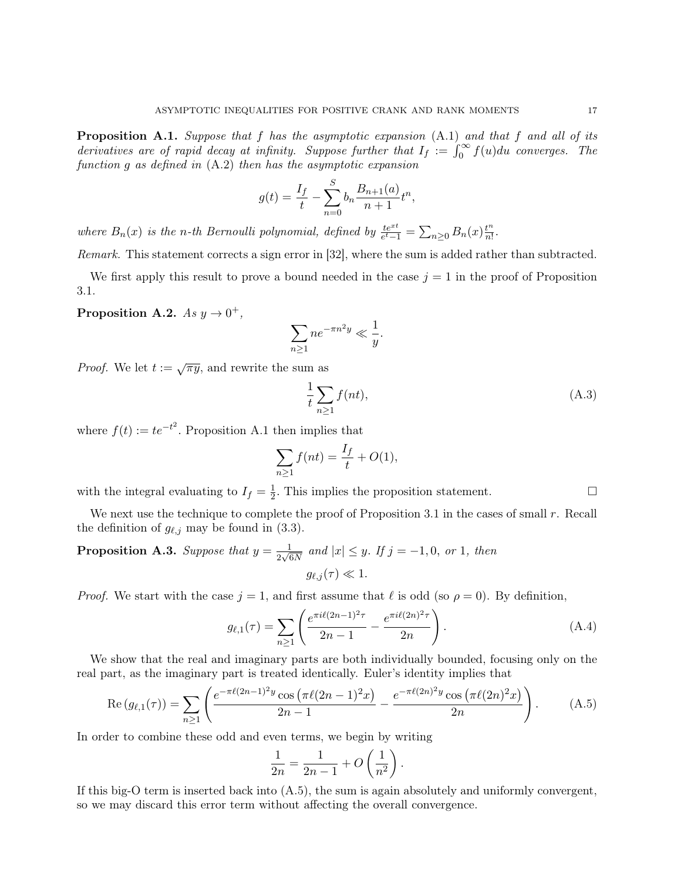**Proposition A.1.** Suppose that f has the asymptotic expansion  $(A.1)$  and that f and all of its derivatives are of rapid decay at infinity. Suppose further that  $I_f := \int_0^\infty f(u) du$  converges. The function g as defined in (A.2) then has the asymptotic expansion

$$
g(t) = \frac{I_f}{t} - \sum_{n=0}^{S} b_n \frac{B_{n+1}(a)}{n+1} t^n,
$$

where  $B_n(x)$  is the n-th Bernoulli polynomial, defined by  $\frac{te^{xt}}{e^t-1} = \sum_{n\geq 0} B_n(x) \frac{t^n}{n!}$  $\frac{t^n}{n!}$ .

Remark. This statement corrects a sign error in [32], where the sum is added rather than subtracted.

We first apply this result to prove a bound needed in the case  $j = 1$  in the proof of Proposition 3.1.

Proposition A.2.  $As y \rightarrow 0^+,$ 

$$
\sum_{n\geq 1} n e^{-\pi n^2 y} \ll \frac{1}{y}.
$$

*Proof.* We let  $t := \sqrt{\pi y}$ , and rewrite the sum as

$$
\frac{1}{t} \sum_{n \ge 1} f(nt),\tag{A.3}
$$

where  $f(t) := te^{-t^2}$ . Proposition A.1 then implies that

$$
\sum_{n\geq 1} f(nt) = \frac{I_f}{t} + O(1),
$$

with the integral evaluating to  $I_f = \frac{1}{2}$  $\frac{1}{2}$ . This implies the proposition statement.  $\square$ 

We next use the technique to complete the proof of Proposition 3.1 in the cases of small r. Recall the definition of  $g_{\ell,j}$  may be found in (3.3).

**Proposition A.3.** Suppose that 
$$
y = \frac{1}{2\sqrt{6N}}
$$
 and  $|x| \leq y$ . If  $j = -1, 0$ , or 1, then  $g_{\ell,j}(\tau) \ll 1$ .

*Proof.* We start with the case  $j = 1$ , and first assume that  $\ell$  is odd (so  $\rho = 0$ ). By definition,

$$
g_{\ell,1}(\tau) = \sum_{n\geq 1} \left( \frac{e^{\pi i \ell (2n-1)^2 \tau}}{2n-1} - \frac{e^{\pi i \ell (2n)^2 \tau}}{2n} \right).
$$
 (A.4)

We show that the real and imaginary parts are both individually bounded, focusing only on the real part, as the imaginary part is treated identically. Euler's identity implies that

$$
\operatorname{Re}\left(g_{\ell,1}(\tau)\right) = \sum_{n\geq 1} \left( \frac{e^{-\pi \ell (2n-1)^2 y} \cos\left(\pi \ell (2n-1)^2 x\right)}{2n-1} - \frac{e^{-\pi \ell (2n)^2 y} \cos\left(\pi \ell (2n)^2 x\right)}{2n} \right). \tag{A.5}
$$

In order to combine these odd and even terms, we begin by writing

$$
\frac{1}{2n} = \frac{1}{2n-1} + O\left(\frac{1}{n^2}\right).
$$

If this big-O term is inserted back into  $(A.5)$ , the sum is again absolutely and uniformly convergent, so we may discard this error term without affecting the overall convergence.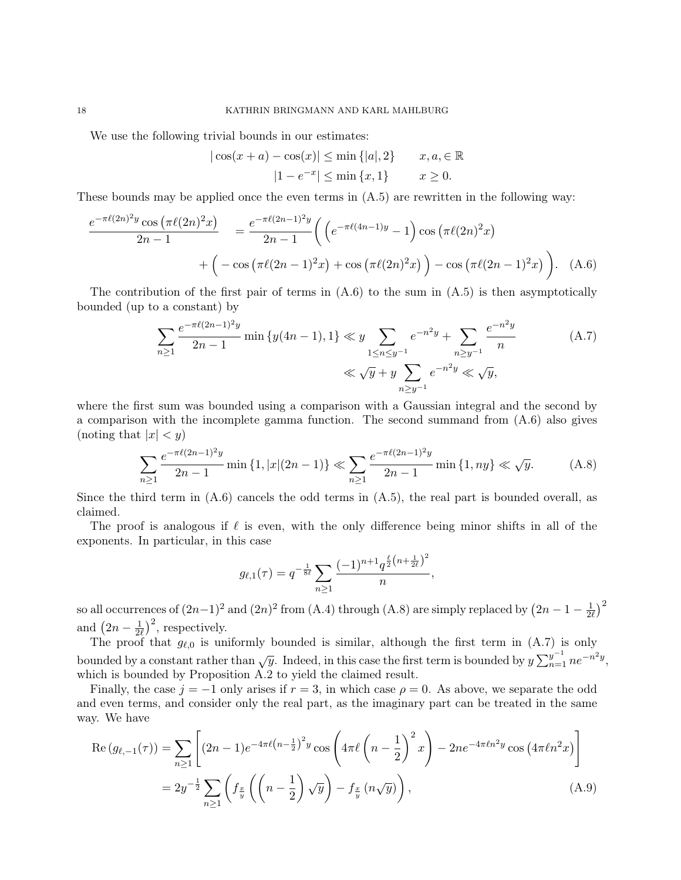We use the following trivial bounds in our estimates:

$$
|\cos(x+a) - \cos(x)| \le \min\{|a|, 2\} \qquad x, a \in \mathbb{R}
$$

$$
|1 - e^{-x}| \le \min\{x, 1\} \qquad x \ge 0.
$$

These bounds may be applied once the even terms in  $(A.5)$  are rewritten in the following way:

$$
\frac{e^{-\pi \ell (2n)^2 y} \cos \left(\pi \ell (2n)^2 x\right)}{2n-1} = \frac{e^{-\pi \ell (2n-1)^2 y}}{2n-1} \left( \left( e^{-\pi \ell (4n-1) y} - 1 \right) \cos \left(\pi \ell (2n)^2 x\right) + \left( -\cos \left(\pi \ell (2n-1)^2 x\right) + \cos \left(\pi \ell (2n)^2 x\right) \right) - \cos \left(\pi \ell (2n-1)^2 x\right) \right). \tag{A.6}
$$

The contribution of the first pair of terms in  $(A.6)$  to the sum in  $(A.5)$  is then asymptotically bounded (up to a constant) by

$$
\sum_{n\geq 1} \frac{e^{-\pi \ell (2n-1)^2 y}}{2n-1} \min \{y(4n-1), 1\} \ll y \sum_{1 \leq n \leq y^{-1}} e^{-n^2 y} + \sum_{n\geq y^{-1}} \frac{e^{-n^2 y}}{n} \qquad (A.7)
$$
  

$$
\ll \sqrt{y} + y \sum_{n\geq y^{-1}} e^{-n^2 y} \ll \sqrt{y},
$$

where the first sum was bounded using a comparison with a Gaussian integral and the second by a comparison with the incomplete gamma function. The second summand from (A.6) also gives (noting that  $|x| < y$ )

$$
\sum_{n\geq 1} \frac{e^{-\pi \ell (2n-1)^2 y}}{2n-1} \min\left\{1, |x|(2n-1)\right\} \ll \sum_{n\geq 1} \frac{e^{-\pi \ell (2n-1)^2 y}}{2n-1} \min\left\{1, ny\right\} \ll \sqrt{y}.
$$
 (A.8)

Since the third term in  $(A.6)$  cancels the odd terms in  $(A.5)$ , the real part is bounded overall, as claimed.

The proof is analogous if  $\ell$  is even, with the only difference being minor shifts in all of the exponents. In particular, in this case

$$
g_{\ell,1}(\tau) = q^{-\frac{1}{8\ell}} \sum_{n\geq 1} \frac{(-1)^{n+1} q^{\frac{\ell}{2}(n+\frac{1}{2\ell})^2}}{n},
$$

so all occurrences of  $(2n-1)^2$  and  $(2n)^2$  from  $(A.4)$  through  $(A.8)$  are simply replaced by  $(2n-1-\frac{1}{2a})$  $\frac{1}{2\ell})^2$ and  $\left(2n-\frac{1}{2n}\right)$  $\frac{1}{2\ell}$ )<sup>2</sup>, respectively.

The proof that  $g_{\ell,0}$  is uniformly bounded is similar, although the first term in  $(A.7)$  is only bounded by a constant rather than  $\sqrt{y}$ . Indeed, in this case the first term is bounded by  $y \sum_{n=1}^{y-1} n e^{-n^2 y}$ , which is bounded by Proposition A.2 to yield the claimed result.

Finally, the case  $j = -1$  only arises if  $r = 3$ , in which case  $\rho = 0$ . As above, we separate the odd and even terms, and consider only the real part, as the imaginary part can be treated in the same way. We have

$$
\operatorname{Re}\left(g_{\ell,-1}(\tau)\right) = \sum_{n\geq 1} \left[ (2n-1)e^{-4\pi\ell\left(n-\frac{1}{2}\right)^2 y} \cos\left(4\pi\ell\left(n-\frac{1}{2}\right)^2 x\right) - 2n e^{-4\pi\ell n^2 y} \cos\left(4\pi\ell n^2 x\right) \right]
$$
  
=  $2y^{-\frac{1}{2}} \sum_{n\geq 1} \left( f_{\frac{x}{y}}\left(\left(n-\frac{1}{2}\right)\sqrt{y}\right) - f_{\frac{x}{y}}\left(n\sqrt{y}\right) \right),$  (A.9)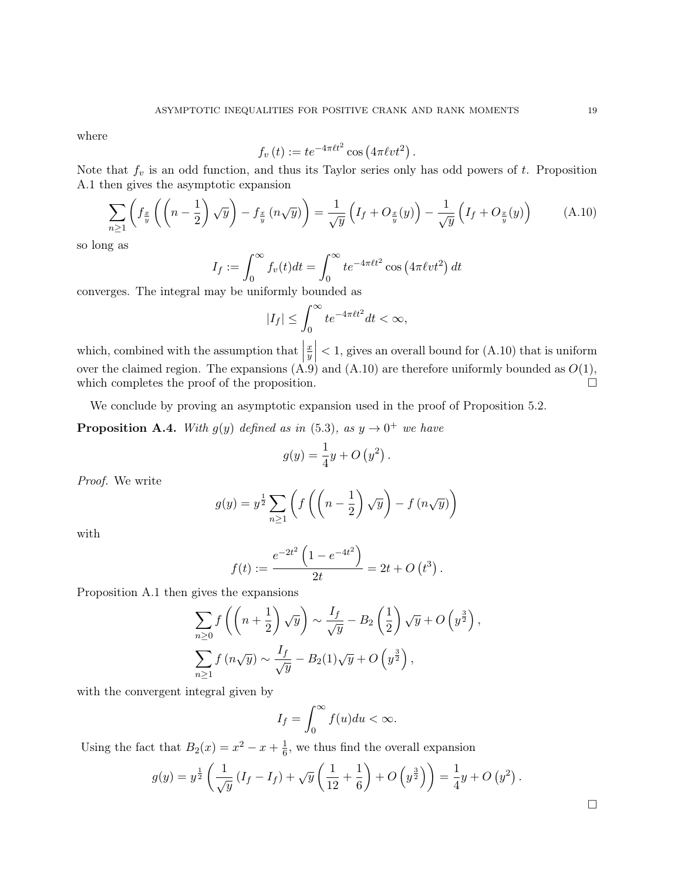where

$$
f_v(t) := te^{-4\pi \ell t^2} \cos(4\pi \ell vt^2).
$$

Note that  $f_v$  is an odd function, and thus its Taylor series only has odd powers of t. Proposition A.1 then gives the asymptotic expansion

$$
\sum_{n\geq 1} \left( f_{\frac{x}{y}} \left( \left( n - \frac{1}{2} \right) \sqrt{y} \right) - f_{\frac{x}{y}} \left( n \sqrt{y} \right) \right) = \frac{1}{\sqrt{y}} \left( I_f + O_{\frac{x}{y}}(y) \right) - \frac{1}{\sqrt{y}} \left( I_f + O_{\frac{x}{y}}(y) \right) \tag{A.10}
$$

so long as

$$
I_f := \int_0^\infty f_v(t)dt = \int_0^\infty t e^{-4\pi \ell t^2} \cos\left(4\pi \ell vt^2\right) dt
$$

converges. The integral may be uniformly bounded as

$$
|I_f| \le \int_0^\infty t e^{-4\pi \ell t^2} dt < \infty,
$$

which, combined with the assumption that  $\begin{pmatrix} 1 & 1 & \cdots & 1 \\ 0 & 0 & \cdots & 0 \\ 0 & 0 & 0 & 0 \\ 0 & 0 & 0 & 0 \\ 0 & 0 & 0 & 0 \\ 0 & 0 & 0 & 0 \\ 0 & 0 & 0 & 0 \\ 0 & 0 & 0 & 0 \\ 0 & 0 & 0 & 0 \\ 0 & 0 & 0 & 0 \\ 0 & 0 & 0 & 0 \\ 0 & 0 & 0 & 0 \\ 0 & 0 & 0 & 0 \\ 0 & 0 & 0 & 0 & 0 \\$  $\overline{x}$  $\left|\frac{x}{y}\right|$  < 1, gives an overall bound for (A.10) that is uniform over the claimed region. The expansions  $(A.9)$  and  $(A.10)$  are therefore uniformly bounded as  $O(1)$ , which completes the proof of the proposition.  $\Box$ 

We conclude by proving an asymptotic expansion used in the proof of Proposition 5.2.

**Proposition A.4.** With  $g(y)$  defined as in (5.3), as  $y \to 0^+$  we have

$$
g(y) = \frac{1}{4}y + O\left(y^2\right).
$$

Proof. We write

$$
g(y) = y^{\frac{1}{2}} \sum_{n \ge 1} \left( f\left( \left( n - \frac{1}{2} \right) \sqrt{y} \right) - f\left( n\sqrt{y} \right) \right)
$$

with

$$
f(t) := \frac{e^{-2t^2} \left(1 - e^{-4t^2}\right)}{2t} = 2t + O\left(t^3\right).
$$

Proposition A.1 then gives the expansions

$$
\sum_{n\geq 0} f\left(\left(n+\frac{1}{2}\right)\sqrt{y}\right) \sim \frac{I_f}{\sqrt{y}} - B_2\left(\frac{1}{2}\right)\sqrt{y} + O\left(y^{\frac{3}{2}}\right),
$$
  

$$
\sum_{n\geq 1} f\left(n\sqrt{y}\right) \sim \frac{I_f}{\sqrt{y}} - B_2(1)\sqrt{y} + O\left(y^{\frac{3}{2}}\right),
$$

with the convergent integral given by

$$
I_f = \int_0^\infty f(u) du < \infty.
$$

Using the fact that  $B_2(x) = x^2 - x + \frac{1}{6}$  $\frac{1}{6}$ , we thus find the overall expansion

$$
g(y) = y^{\frac{1}{2}} \left( \frac{1}{\sqrt{y}} \left( I_f - I_f \right) + \sqrt{y} \left( \frac{1}{12} + \frac{1}{6} \right) + O \left( y^{\frac{3}{2}} \right) \right) = \frac{1}{4} y + O \left( y^2 \right).
$$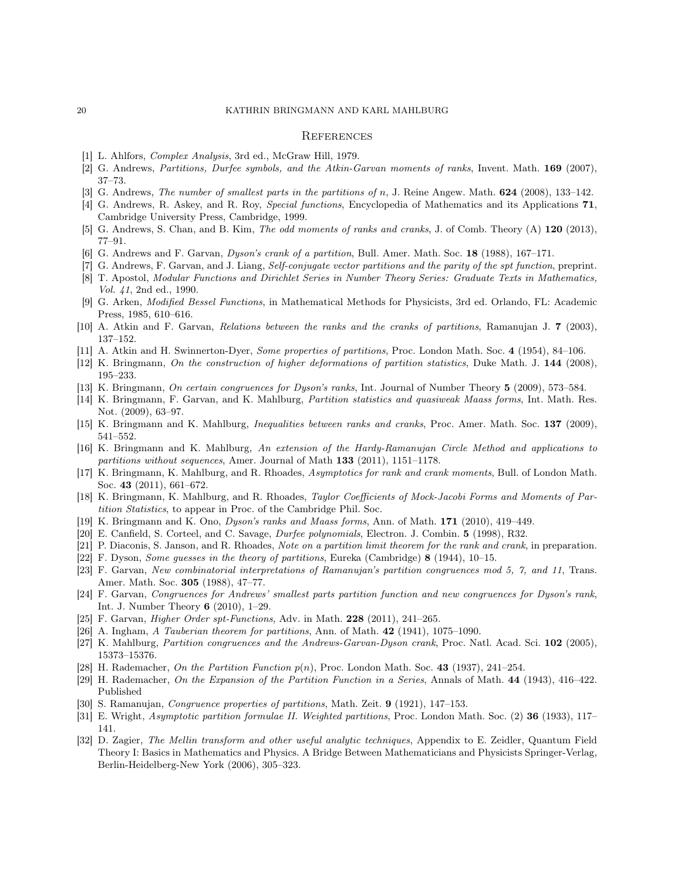#### 20 KATHRIN BRINGMANN AND KARL MAHLBURG

#### **REFERENCES**

- [1] L. Ahlfors, Complex Analysis, 3rd ed., McGraw Hill, 1979.
- [2] G. Andrews, Partitions, Durfee symbols, and the Atkin-Garvan moments of ranks, Invent. Math. 169 (2007), 37–73.
- [3] G. Andrews, The number of smallest parts in the partitions of n, J. Reine Angew. Math. 624 (2008), 133–142.
- [4] G. Andrews, R. Askey, and R. Roy, Special functions, Encyclopedia of Mathematics and its Applications 71, Cambridge University Press, Cambridge, 1999.
- [5] G. Andrews, S. Chan, and B. Kim, *The odd moments of ranks and cranks*, J. of Comb. Theory (A) 120 (2013), 77–91.
- [6] G. Andrews and F. Garvan, Dyson's crank of a partition, Bull. Amer. Math. Soc. 18 (1988), 167–171.
- [7] G. Andrews, F. Garvan, and J. Liang, Self-conjugate vector partitions and the parity of the spt function, preprint. [8] T. Apostol, Modular Functions and Dirichlet Series in Number Theory Series: Graduate Texts in Mathematics,
- Vol. 41, 2nd ed., 1990. [9] G. Arken, Modified Bessel Functions, in Mathematical Methods for Physicists, 3rd ed. Orlando, FL: Academic
- Press, 1985, 610–616.
- [10] A. Atkin and F. Garvan, Relations between the ranks and the cranks of partitions, Ramanujan J. 7 (2003), 137–152.
- [11] A. Atkin and H. Swinnerton-Dyer, Some properties of partitions, Proc. London Math. Soc. 4 (1954), 84–106.
- [12] K. Bringmann, On the construction of higher deformations of partition statistics, Duke Math. J. 144 (2008), 195–233.
- [13] K. Bringmann, *On certain congruences for Duson's ranks*, Int. Journal of Number Theory 5 (2009), 573–584.
- [14] K. Bringmann, F. Garvan, and K. Mahlburg, Partition statistics and quasiweak Maass forms, Int. Math. Res. Not. (2009), 63–97.
- [15] K. Bringmann and K. Mahlburg, Inequalities between ranks and cranks, Proc. Amer. Math. Soc. 137 (2009), 541–552.
- [16] K. Bringmann and K. Mahlburg, An extension of the Hardy-Ramanujan Circle Method and applications to partitions without sequences, Amer. Journal of Math 133 (2011), 1151–1178.
- [17] K. Bringmann, K. Mahlburg, and R. Rhoades, Asymptotics for rank and crank moments, Bull. of London Math. Soc. 43 (2011), 661–672.
- [18] K. Bringmann, K. Mahlburg, and R. Rhoades, *Taylor Coefficients of Mock-Jacobi Forms and Moments of Par*tition Statistics, to appear in Proc. of the Cambridge Phil. Soc.
- [19] K. Bringmann and K. Ono, Dyson's ranks and Maass forms, Ann. of Math. 171 (2010), 419–449.
- [20] E. Canfield, S. Corteel, and C. Savage, Durfee polynomials, Electron. J. Combin. 5 (1998), R32.
- [21] P. Diaconis, S. Janson, and R. Rhoades, Note on a partition limit theorem for the rank and crank, in preparation.
- [22] F. Dyson, Some guesses in the theory of partitions, Eureka (Cambridge) 8 (1944), 10–15.
- [23] F. Garvan, New combinatorial interpretations of Ramanujan's partition congruences mod 5, 7, and 11, Trans. Amer. Math. Soc. 305 (1988), 47–77.
- [24] F. Garvan, Congruences for Andrews' smallest parts partition function and new congruences for Dyson's rank, Int. J. Number Theory 6 (2010), 1–29.
- [25] F. Garvan, Higher Order spt-Functions, Adv. in Math. 228 (2011), 241–265.
- [26] A. Ingham, A Tauberian theorem for partitions, Ann. of Math. 42 (1941), 1075–1090.
- [27] K. Mahlburg, *Partition congruences and the Andrews-Garvan-Dyson crank*, Proc. Natl. Acad. Sci. 102 (2005), 15373–15376.
- [28] H. Rademacher, On the Partition Function  $p(n)$ , Proc. London Math. Soc. 43 (1937), 241–254.
- [29] H. Rademacher, On the Expansion of the Partition Function in a Series, Annals of Math. 44 (1943), 416–422. Published
- [30] S. Ramanujan, Congruence properties of partitions, Math. Zeit. 9 (1921), 147–153.
- [31] E. Wright, Asymptotic partition formulae II. Weighted partitions, Proc. London Math. Soc. (2) 36 (1933), 117– 141.
- [32] D. Zagier, The Mellin transform and other useful analytic techniques, Appendix to E. Zeidler, Quantum Field Theory I: Basics in Mathematics and Physics. A Bridge Between Mathematicians and Physicists Springer-Verlag, Berlin-Heidelberg-New York (2006), 305–323.